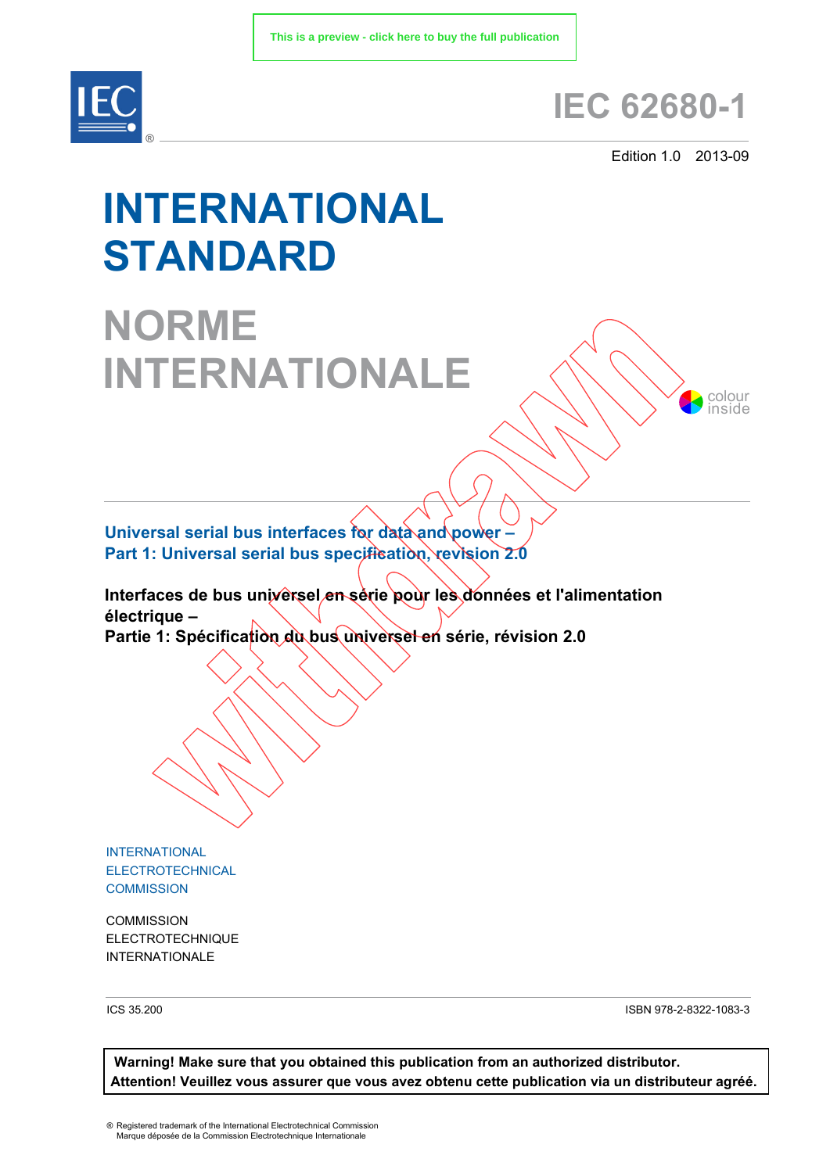

## **IEC 62680-1**

Edition 1.0 2013-09

colour inside

# **INTERNATIONAL STANDARD**

**NORME INTERNATIONALE**

**Universal serial bus interfaces for data and power** Part 1: Universal serial bus specification, revision 2.0

**Interfaces de bus universel en série pour les données et l'alimentation électrique – Partie 1: Spécification du bus universel en série, révision 2.0**

INTERNATIONAL ELECTROTECHNICAL **COMMISSION** 

**COMMISSION** ELECTROTECHNIQUE INTERNATIONALE

ICS 35.200

ISBN 978-2-8322-1083-3

**Warning! Make sure that you obtained this publication from an authorized distributor. Attention! Veuillez vous assurer que vous avez obtenu cette publication via un distributeur agréé.**

® Registered trademark of the International Electrotechnical Commission Marque déposée de la Commission Electrotechnique Internationale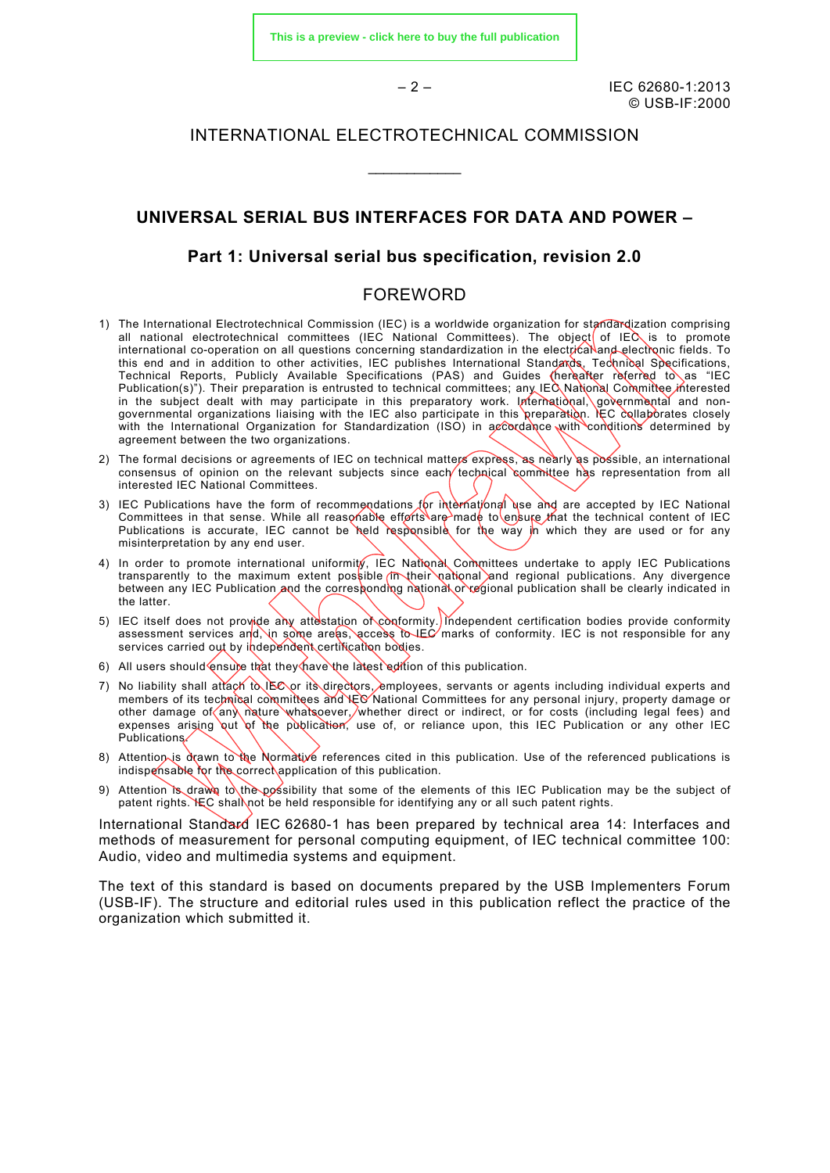$-2 - 1$  IEC 62680-1:2013  $© IISB-IF:2000$ 

#### INTERNATIONAL ELECTROTECHNICAL COMMISSION

\_\_\_\_\_\_\_\_\_\_\_\_

#### **UNIVERSAL SERIAL BUS INTERFACES FOR DATA AND POWER –**

#### **Part 1: Universal serial bus specification, revision 2.0**

#### FOREWORD

- 1) The International Electrotechnical Commission (IEC) is a worldwide organization for standardization comprising all national electrotechnical committees (IEC National Committees). The object of IEC is to promote international co-operation on all questions concerning standardization in the electrical and electronic fields. To this end and in addition to other activities, IEC publishes International Standards, Technical Specifications, Technical Reports, Publicly Available Specifications (PAS) and Guides (hereafter referred to as "IEC Publication(s)"). Their preparation is entrusted to technical committees; any IEC National Committee interested in the subject dealt with may participate in this preparatory work. International, governmental and nongovernmental organizations liaising with the IEC also participate in this preparàtiòn. IEC collaborates closely with the International Organization for Standardization (ISO) in accordance with conditions determined by agreement between the two organizations.
- 2) The formal decisions or agreements of IEC on technical matters express, as nearly as possible, an international consensus of opinion on the relevant subjects since each technical committee has representation from all interested IEC National Committees.
- 3) IEC Publications have the form of recommendations for international use and are accepted by IEC National Committees in that sense. While all reasonable efforts are made to ensure that the technical content of IEC Publications is accurate, IEC cannot be held responsible for the way  $\|\cdot\|$  which they are used or for any misinterpretation by any end user.
- 4) In order to promote international uniformity, IEC National Committees undertake to apply IEC Publications transparently to the maximum extent possible  $(n$  their national and regional publications. Any divergence between any IEC Publication and the corresponding national or regional publication shall be clearly indicated in the latter.
- 5) IEC itself does not provide any attestation of conformity. Independent certification bodies provide conformity assessment services and, in some areas, access to IEC marks of conformity. IEC is not responsible for any services carried out by independent certification bodies.
- 6) All users should ensure that they have the latest edition of this publication.
- 7) No liability shall attach to IEC or its directors, employees, servants or agents including individual experts and members of its technical committees and IEC National Committees for any personal injury, property damage or other damage of $\langle$ any nature whatsoever, /whether direct or indirect, or for costs (including legal fees) and expenses arising out of the publication, use of, or reliance upon, this IEC Publication or any other IEC Publications.
- 8) Attention is drawn to the Normative references cited in this publication. Use of the referenced publications is indispensable for the correct application of this publication.
- 9) Attention is drawn to the possibility that some of the elements of this IEC Publication may be the subject of patent rights. IEC shall not be held responsible for identifying any or all such patent rights.

International Standard IEC 62680-1 has been prepared by technical area 14: Interfaces and methods of measurement for personal computing equipment, of IEC technical committee 100: Audio, video and multimedia systems and equipment.

The text of this standard is based on documents prepared by the USB Implementers Forum (USB-IF). The structure and editorial rules used in this publication reflect the practice of the organization which submitted it.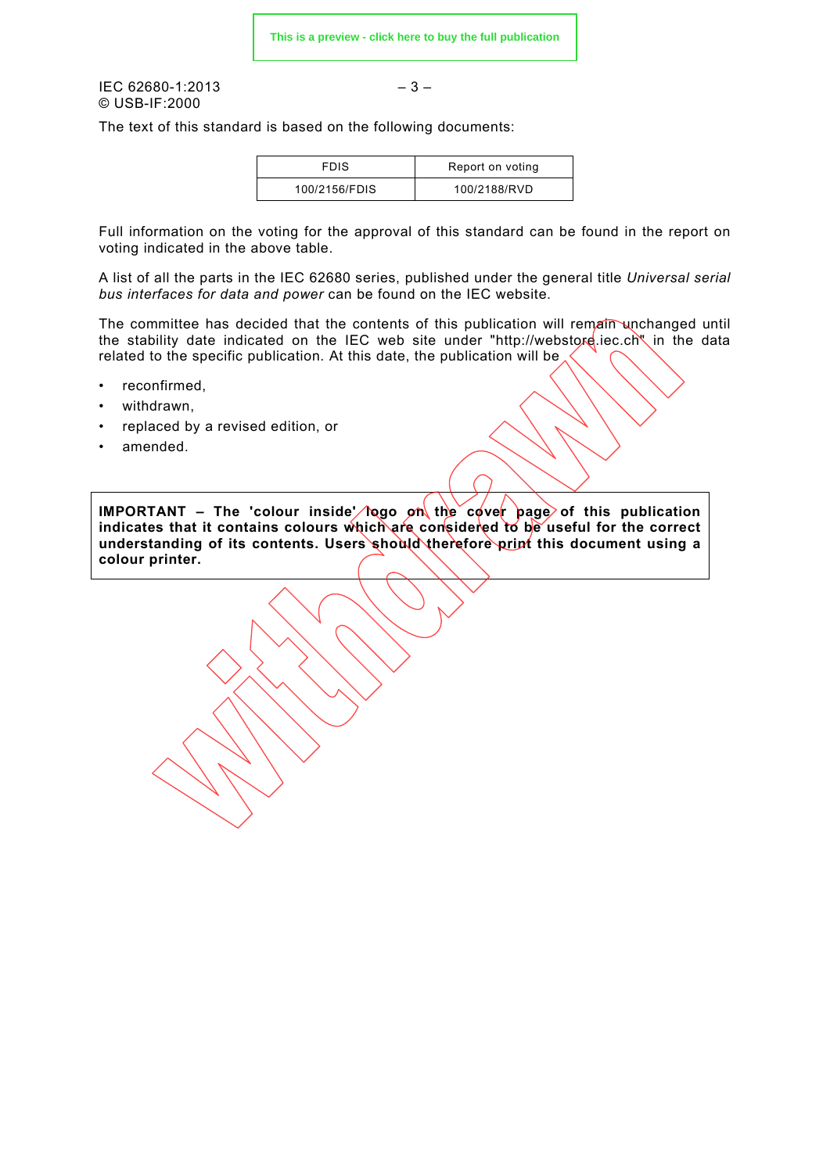IEC 62680-1:2013 – 3 – © USB-IF:2000

The text of this standard is based on the following documents:

| <b>FDIS</b>   | Report on voting |
|---------------|------------------|
| 100/2156/FDIS | 100/2188/RVD     |

Full information on the voting for the approval of this standard can be found in the report on voting indicated in the above table.

A list of all the parts in the IEC 62680 series, published under the general title *Universal serial bus interfaces for data and power* can be found on the IEC website.

The committee has decided that the contents of this publication will remain unchanged until the stability date indicated on the IEC web site under "http://webstore.iec.ch" in the data related to the specific publication. At this date, the publication will be

- reconfirmed,
- withdrawn,
- replaced by a revised edition, or
- amended.

**IMPORTANT – The 'colour inside'/logo on the cover page of this publication indicates that it contains colours which are considered to be useful for the correct understanding of its contents. Users should therefore print this document using a colour printer.**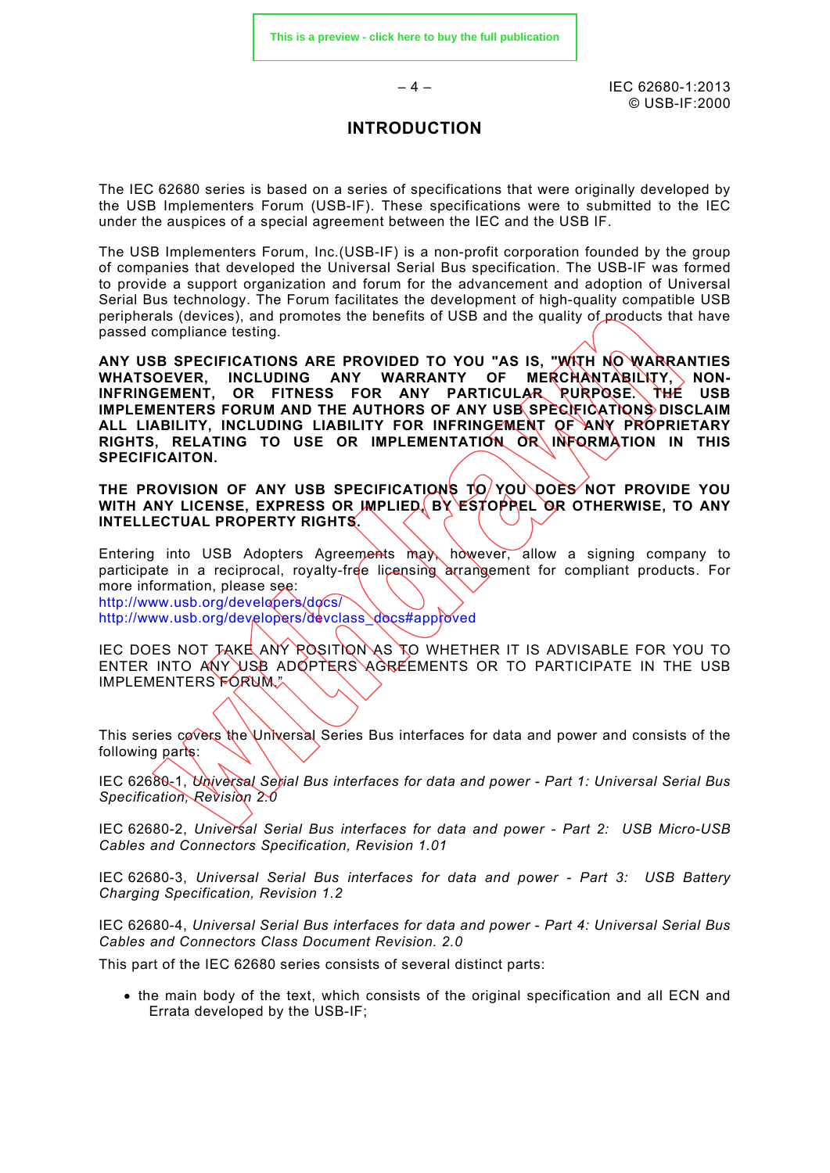$-4 -$  IEC 62680-1:2013 © USB-IF:2000

#### **INTRODUCTION**

The IEC 62680 series is based on a series of specifications that were originally developed by the USB Implementers Forum (USB-IF). These specifications were to submitted to the IEC under the auspices of a special agreement between the IEC and the USB IF.

The USB Implementers Forum, Inc.(USB-IF) is a non-profit corporation founded by the group of companies that developed the Universal Serial Bus specification. The USB-IF was formed to provide a support organization and forum for the advancement and adoption of Universal Serial Bus technology. The Forum facilitates the development of high-quality compatible USB peripherals (devices), and promotes the benefits of USB and the quality of products that have passed compliance testing.

**ANY USB SPECIFICATIONS ARE PROVIDED TO YOU "AS IS, "WITH NO WARRANTIES**  WHATSOEVER, INCLUDING ANY WARRANTY OF **INFRINGEMENT, OR FITNESS FOR ANY PARTICULAR PURPOSE. THE USB IMPLEMENTERS FORUM AND THE AUTHORS OF ANY USB SPECIFICATIONS DISCLAIM ALL LIABILITY, INCLUDING LIABILITY FOR INFRINGEMENT OF ANY PROPRIETARY RIGHTS, RELATING TO USE OR IMPLEMENTATION OR INFORMATION IN THIS SPECIFICAITON.** 

**THE PROVISION OF ANY USB SPECIFICATIONS TO YOU DOES NOT PROVIDE YOU**  WITH ANY LICENSE, EXPRESS OR IMPLIED, BY ESTOPPEL OR OTHERWISE, TO ANY **INTELLECTUAL PROPERTY RIGHTS.** 

Entering into USB Adopters Agreements may however, allow a signing company to participate in a reciprocal, royalty-free licensing arrangement for compliant products. For more information, please see: <http://www.usb.org/developers/docs/>

[http://www.usb.org/developers/devclass\\_docs#approved](http://www.usb.org/developers/devclass_docs#approved)

IEC DOES NOT TAKE ANY ROSITION AS TO WHETHER IT IS ADVISABLE FOR YOU TO ENTER INTO ANY USB ADOPTERS AGREEMENTS OR TO PARTICIPATE IN THE USB IMPLEMENTERS FORUM."

This series covers the Universal Series Bus interfaces for data and power and consists of the following parts:

IEC 62680-1, *Universal Serial Bus interfaces for data and power - Part 1: Universal Serial Bus Specification, Revision 2.0*

IEC 62680-2, *Universal Serial Bus interfaces for data and power - Part 2: USB Micro-USB Cables and Connectors Specification, Revision 1.01*

IEC 62680-3, *Universal Serial Bus interfaces for data and power - Part 3: USB Battery Charging Specification, Revision 1.2*

IEC 62680-4, *Universal Serial Bus interfaces for data and power - Part 4: Universal Serial Bus Cables and Connectors Class Document Revision. 2.0*

This part of the IEC 62680 series consists of several distinct parts:

• the main body of the text, which consists of the original specification and all ECN and Errata developed by the USB-IF;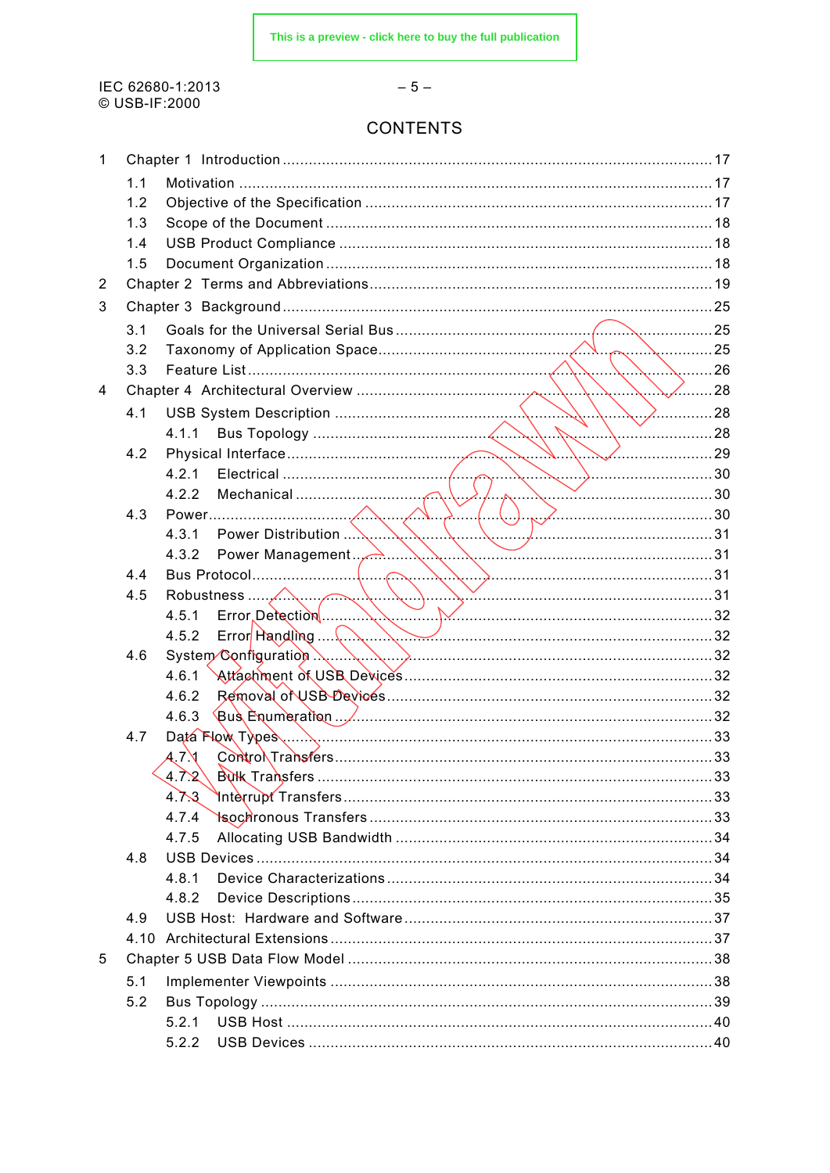IEC 62680-1:2013 © USB-IF:2000

#### $-5-$

### **CONTENTS**

| $\mathbf{1}$ |     |                                                                                                                                                                                                                                     |      |
|--------------|-----|-------------------------------------------------------------------------------------------------------------------------------------------------------------------------------------------------------------------------------------|------|
|              | 1.1 |                                                                                                                                                                                                                                     |      |
|              | 1.2 |                                                                                                                                                                                                                                     |      |
|              | 1.3 |                                                                                                                                                                                                                                     |      |
|              | 1.4 |                                                                                                                                                                                                                                     |      |
|              | 1.5 |                                                                                                                                                                                                                                     |      |
| 2            |     |                                                                                                                                                                                                                                     |      |
| 3            |     |                                                                                                                                                                                                                                     |      |
|              | 3.1 |                                                                                                                                                                                                                                     |      |
|              | 3.2 | $\frac{1}{25}$                                                                                                                                                                                                                      |      |
|              | 3.3 | $\frac{1}{2}$ 26                                                                                                                                                                                                                    |      |
| 4            |     | $\sqrt{28}$                                                                                                                                                                                                                         |      |
|              | 4.1 | $\ldots$ 28<br>$\mathcal{A}$ .                                                                                                                                                                                                      |      |
|              |     | <sup>.</sup> 28<br>4.1.1                                                                                                                                                                                                            |      |
|              | 4.2 |                                                                                                                                                                                                                                     |      |
|              |     | 4 2 1                                                                                                                                                                                                                               |      |
|              |     | 4.2.2                                                                                                                                                                                                                               |      |
|              | 4.3 | .                                                                                                                                                                                                                                   |      |
|              |     | $\begin{array}{c} \begin{array}{c} \begin{array}{c} \end{array} \end{array}$<br>4.3.1                                                                                                                                               |      |
|              |     | 4.3.2                                                                                                                                                                                                                               |      |
|              | 4.4 | $\sim$ 31                                                                                                                                                                                                                           |      |
|              | 4.5 |                                                                                                                                                                                                                                     |      |
|              |     |                                                                                                                                                                                                                                     |      |
|              |     | Error Handing  ( Contract on the Second Line of the Second Line of the Second Line of the Second Line of the Second Line of the Second Line of the Second Line of the Second Line of the Second Line of the Second Line of<br>4.5.2 |      |
|              | 4.6 |                                                                                                                                                                                                                                     |      |
|              |     | 4.6.1                                                                                                                                                                                                                               |      |
|              |     | 4.6.2                                                                                                                                                                                                                               |      |
|              |     | 4.6.3                                                                                                                                                                                                                               |      |
|              | 4.7 |                                                                                                                                                                                                                                     |      |
|              |     | 4. 7 N                                                                                                                                                                                                                              |      |
|              |     | 4.72<br><b>Bulk Transfers</b>                                                                                                                                                                                                       | . 33 |
|              |     | 4.73                                                                                                                                                                                                                                |      |
|              |     | 4.7.4                                                                                                                                                                                                                               |      |
|              |     | 4.7.5                                                                                                                                                                                                                               |      |
|              | 4.8 |                                                                                                                                                                                                                                     |      |
|              |     | 4.8.1                                                                                                                                                                                                                               |      |
|              |     | 4.8.2                                                                                                                                                                                                                               |      |
|              | 4.9 |                                                                                                                                                                                                                                     |      |
|              |     |                                                                                                                                                                                                                                     |      |
| 5            |     |                                                                                                                                                                                                                                     |      |
|              | 5.1 |                                                                                                                                                                                                                                     |      |
|              | 5.2 |                                                                                                                                                                                                                                     |      |
|              |     | 5.2.1                                                                                                                                                                                                                               |      |
|              |     | 5.2.2                                                                                                                                                                                                                               |      |
|              |     |                                                                                                                                                                                                                                     |      |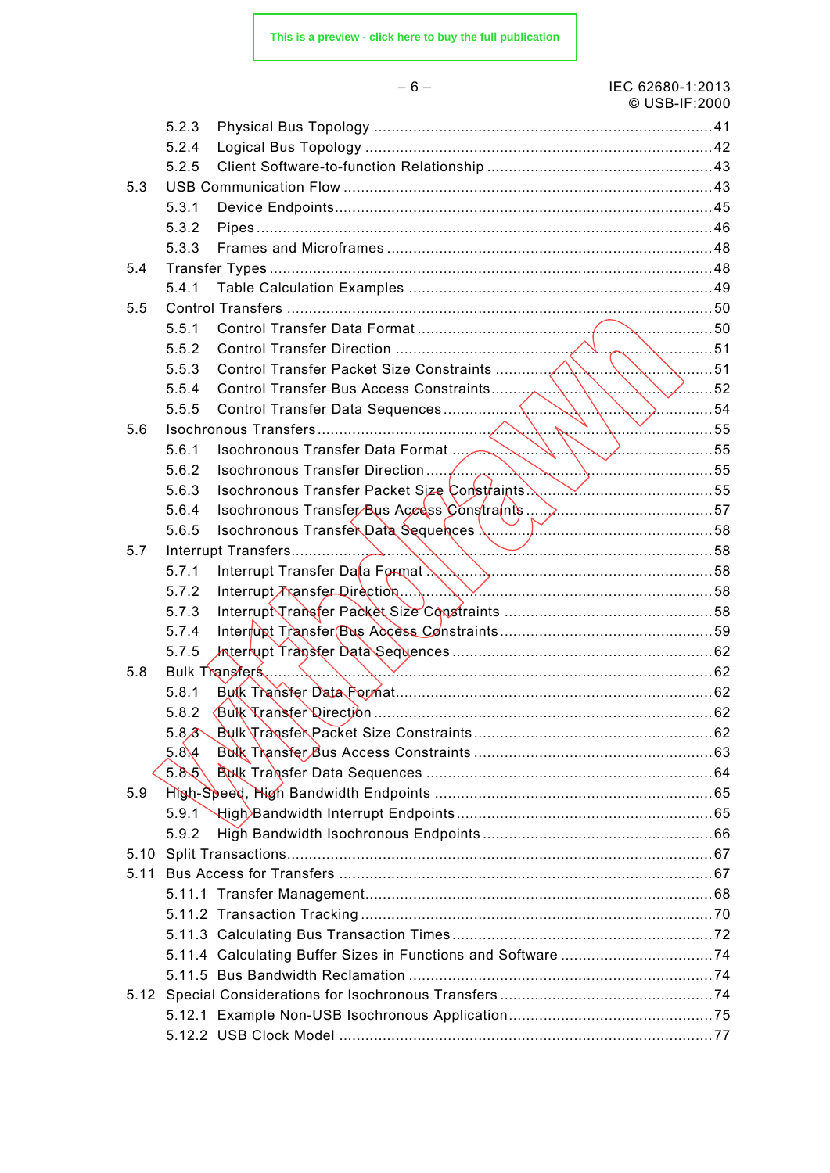– 6 – IEC 62680-1:2013 © USB-IF:2000

|     | 5.2.3    |                                                                                    |  |
|-----|----------|------------------------------------------------------------------------------------|--|
|     | 5.2.4    |                                                                                    |  |
|     | 5.2.5    |                                                                                    |  |
| 5.3 |          |                                                                                    |  |
|     | 5.3.1    |                                                                                    |  |
|     | 5.3.2    |                                                                                    |  |
|     | 5.3.3    |                                                                                    |  |
| 5.4 |          |                                                                                    |  |
|     | 5.4.1    |                                                                                    |  |
| 5.5 |          |                                                                                    |  |
|     | 5.5.1    |                                                                                    |  |
|     | 5.5.2    |                                                                                    |  |
|     | 5.5.3    |                                                                                    |  |
|     | 5.5.4    | $\sqrt{1/2}$<br>$\searrow$ 52                                                      |  |
|     | 5.5.5    |                                                                                    |  |
| 5.6 |          |                                                                                    |  |
|     |          |                                                                                    |  |
|     | 5.6.2    |                                                                                    |  |
|     | 5.6.3    |                                                                                    |  |
|     | 5.6.4    |                                                                                    |  |
|     | 5.6.5    |                                                                                    |  |
| 5.7 |          |                                                                                    |  |
|     | 5.7.1    |                                                                                    |  |
|     | 5.7.2    |                                                                                    |  |
|     | 5.7.3    |                                                                                    |  |
|     | 5.7.4    |                                                                                    |  |
|     | 5.7.5    |                                                                                    |  |
| 5.8 |          | Bulk Transfers                                                                     |  |
|     |          |                                                                                    |  |
|     | 5.8.1    |                                                                                    |  |
|     | 5.8.2    |                                                                                    |  |
|     |          |                                                                                    |  |
|     | 5.84     |                                                                                    |  |
|     | $5.85\%$ |                                                                                    |  |
| 5.9 |          |                                                                                    |  |
|     | 5.9.1    | <del>\[</del> igh <sup>}</sup> Bandwidth Interrupt Endpoints……………………………………………………65 |  |
|     | 5.9.2    |                                                                                    |  |
|     |          |                                                                                    |  |
|     |          |                                                                                    |  |
|     |          |                                                                                    |  |
|     |          |                                                                                    |  |
|     |          |                                                                                    |  |
|     |          |                                                                                    |  |
|     |          |                                                                                    |  |
|     |          |                                                                                    |  |
|     |          |                                                                                    |  |
|     |          |                                                                                    |  |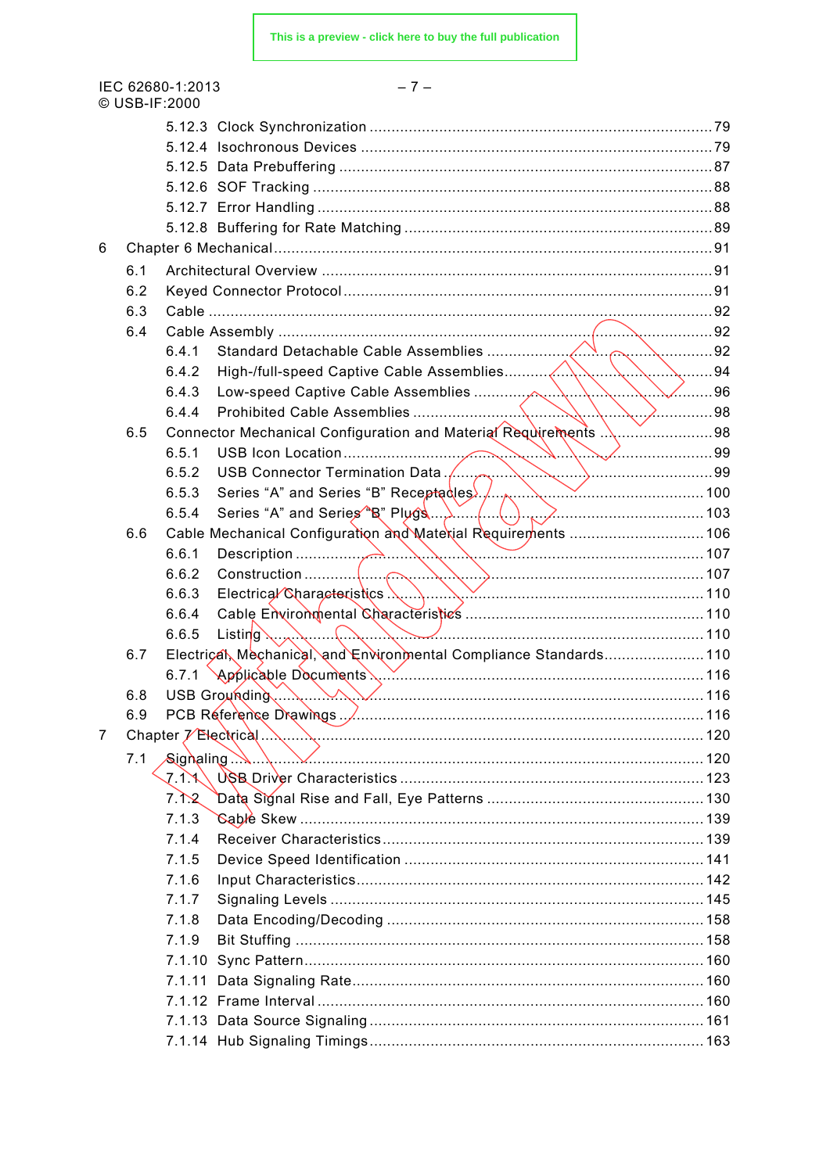IEC 62680-1:2013<br>© USB-IF:2000

 $-7-$ 

|                |     | ש טסט-ור.∠טטש     |                                                                       |                  |
|----------------|-----|-------------------|-----------------------------------------------------------------------|------------------|
|                |     |                   |                                                                       |                  |
|                |     |                   |                                                                       |                  |
|                |     |                   |                                                                       |                  |
|                |     |                   |                                                                       |                  |
|                |     |                   |                                                                       |                  |
|                |     |                   |                                                                       |                  |
| 6              |     |                   |                                                                       |                  |
|                | 6.1 |                   |                                                                       |                  |
|                | 6.2 |                   |                                                                       |                  |
|                | 6.3 |                   |                                                                       |                  |
|                | 6.4 |                   |                                                                       |                  |
|                |     | 6.4.1             | \92                                                                   |                  |
|                |     | 6.4.2             | <b>No. 1979</b>                                                       | $\mathcal{L}$ 94 |
|                |     | 6.4.3             | $\mathbf{C}$                                                          | ✓……96            |
|                |     | 6.4.4             | $\ldots$ 98                                                           |                  |
|                | 6.5 |                   | Connector Mechanical Configuration and Material Requirements 98       |                  |
|                |     | 6.5.1             |                                                                       |                  |
|                |     | 6.5.2             | $\sim$ 09<br>USB Connector Termination Data                           |                  |
|                |     | 6.5.3             | Series "A" and Series "B" Receptacles / / p. m. m. m. m. m. m. m. 100 |                  |
|                |     | 6.5.4             |                                                                       |                  |
|                | 6.6 |                   | Cable Mechanical Configuration and Material Requirements  106         |                  |
|                |     | 6.6.1             |                                                                       |                  |
|                |     | 6.6.2             |                                                                       |                  |
|                |     | 6.6.3             |                                                                       |                  |
|                |     | 6.6.4             |                                                                       |                  |
|                |     | 6.6.5             |                                                                       |                  |
|                | 6.7 |                   | Electrical, Mechanical, and Environmental Compliance Standards 110    |                  |
|                |     | 6.7.1             |                                                                       |                  |
|                | 6.8 |                   |                                                                       |                  |
|                | 6.9 |                   |                                                                       |                  |
| $\overline{7}$ |     |                   |                                                                       |                  |
|                | 7.1 | $\sim$ Signaling. |                                                                       |                  |
|                |     | 7.1               |                                                                       |                  |
|                |     | 7.12              |                                                                       |                  |
|                |     | 7.1.3             |                                                                       |                  |
|                |     | 7.1.4             |                                                                       |                  |
|                |     | 7.1.5             |                                                                       |                  |
|                |     | 7.1.6             |                                                                       |                  |
|                |     | 7.1.7             |                                                                       |                  |
|                |     | 7.1.8             |                                                                       |                  |
|                |     | 7.1.9             |                                                                       |                  |
|                |     |                   |                                                                       |                  |
|                |     |                   |                                                                       |                  |
|                |     |                   |                                                                       |                  |
|                |     |                   |                                                                       |                  |
|                |     |                   |                                                                       |                  |
|                |     |                   |                                                                       |                  |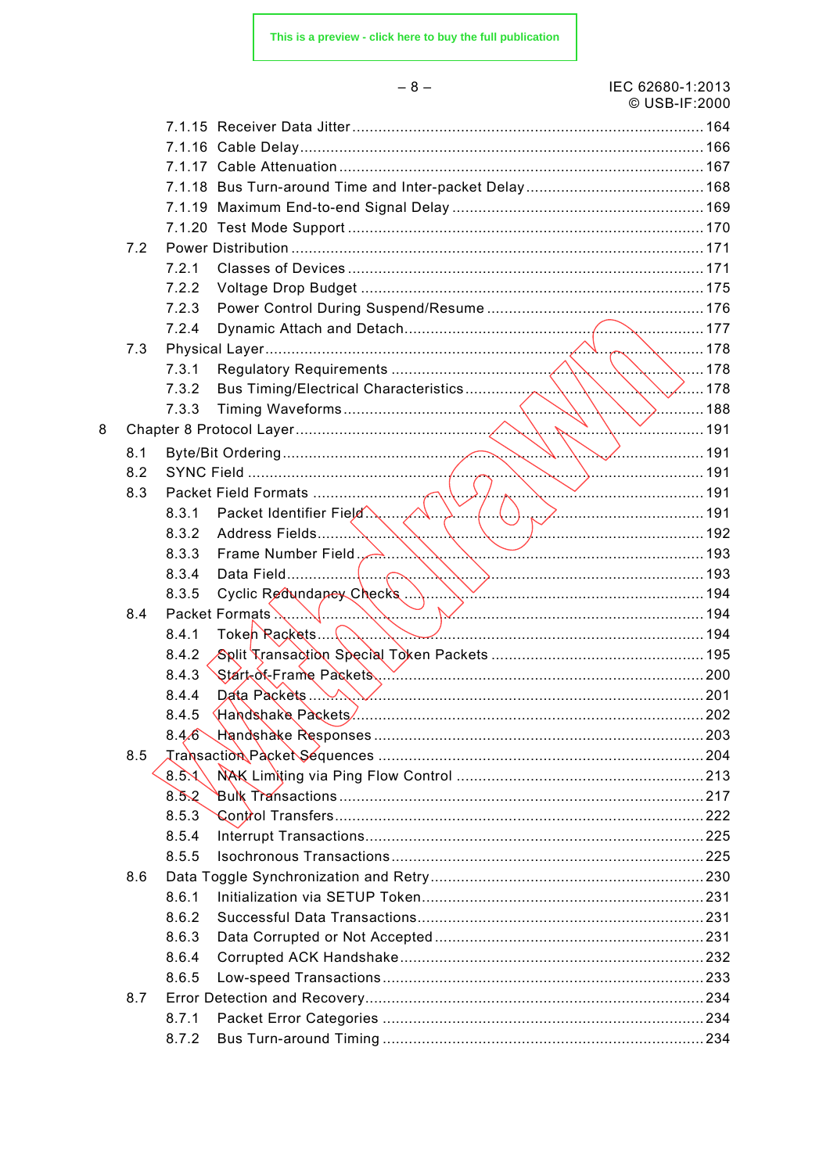$-8-$ 

## IEC 62680-1:2013

|   |     |               |                            | $@$ USB-IF:2000 |
|---|-----|---------------|----------------------------|-----------------|
|   |     |               |                            |                 |
|   |     |               |                            |                 |
|   |     |               |                            |                 |
|   |     |               |                            |                 |
|   |     |               |                            |                 |
|   |     |               |                            |                 |
|   | 7.2 |               |                            |                 |
|   |     | 7.2.1         |                            |                 |
|   |     | 7.2.2         |                            |                 |
|   |     | 7.2.3         |                            |                 |
|   |     | 7.2.4         |                            |                 |
|   | 7.3 |               |                            | <u>. 178</u>    |
|   |     | 7.3.1         |                            | \178            |
|   |     | 7.3.2         | くーイン<br>ヽ                  | . 178           |
|   |     | 7.3.3         | \〉188<br>$\ldots$          |                 |
| 8 |     |               | <u>. 191</u>               |                 |
|   | 8.1 |               |                            |                 |
|   | 8.2 |               | <b>1.</b>                  |                 |
|   | 8.3 |               |                            |                 |
|   |     | 8.3.1         |                            |                 |
|   |     | 8.3.2         |                            |                 |
|   |     | 8.3.3         | <b>Frame Number Field.</b> |                 |
|   |     | 8.3.4         |                            |                 |
|   |     | 8.3.5         |                            |                 |
|   | 8.4 |               |                            |                 |
|   |     | 8.4.1         |                            |                 |
|   |     | 8.4.2         |                            |                 |
|   |     | 8.4.3         |                            |                 |
|   |     | 8.4.4         | Data Packets               |                 |
|   |     | 8.4.5         |                            |                 |
|   |     |               |                            |                 |
|   | 8.5 |               |                            |                 |
|   |     | $.8.5\lambda$ |                            |                 |
|   |     | 8.52          |                            |                 |
|   |     | 8.5.3         |                            |                 |
|   |     | 8.5.4         |                            |                 |
|   |     | 8.5.5         |                            |                 |
|   | 8.6 |               |                            |                 |
|   |     | 8.6.1         |                            |                 |
|   |     | 8.6.2         |                            |                 |
|   |     | 8.6.3         |                            |                 |
|   |     | 8.6.4         |                            |                 |
|   |     | 8.6.5         |                            |                 |
|   | 8.7 |               |                            |                 |
|   |     | 8.7.1         |                            |                 |
|   |     | 8.7.2         |                            |                 |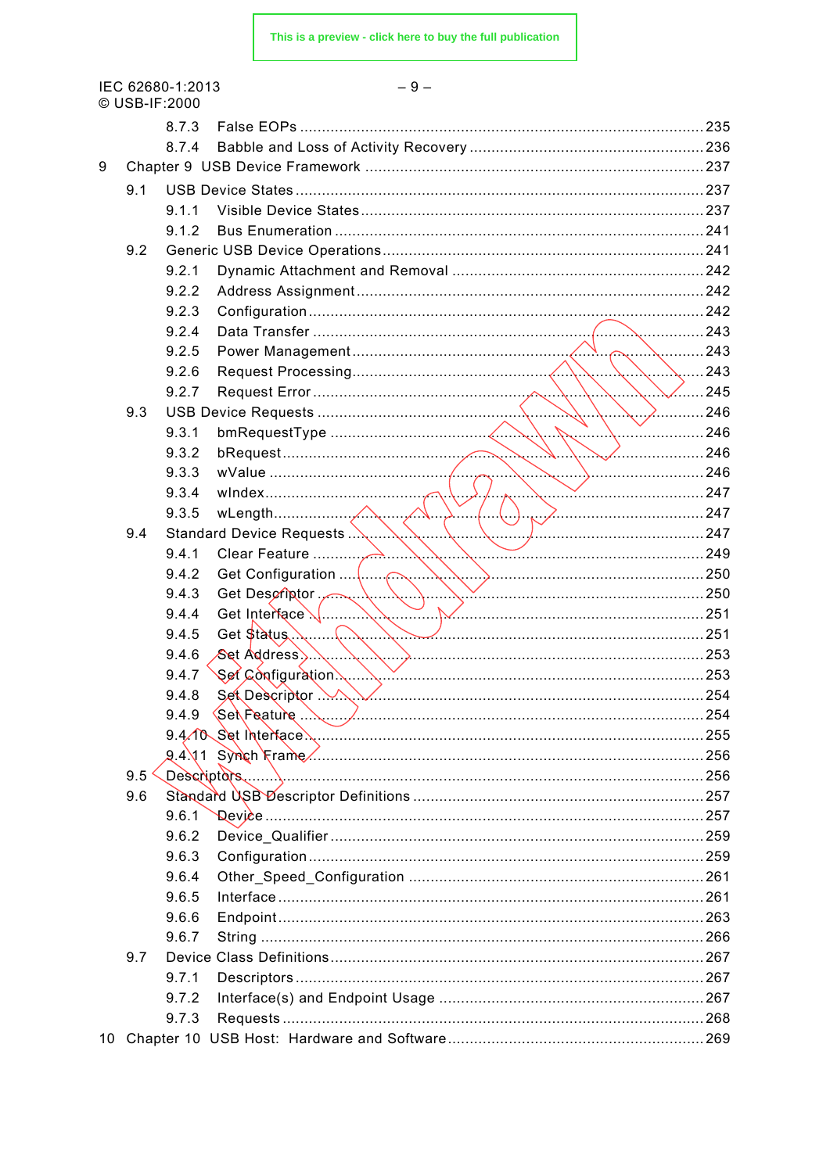IEC 62680-1:2013<br>© USB-IF:2000

 $-9-$ 

|   |     | טטטב. וו-שט |                                                             |                            |
|---|-----|-------------|-------------------------------------------------------------|----------------------------|
|   |     | 8.7.3       |                                                             |                            |
|   |     | 8.7.4       |                                                             |                            |
| 9 |     |             |                                                             |                            |
|   | 9.1 |             |                                                             |                            |
|   |     | 9.1.1       |                                                             |                            |
|   |     | 9.1.2       |                                                             |                            |
|   | 9.2 |             |                                                             |                            |
|   |     | 9.2.1       |                                                             |                            |
|   |     | 9.2.2       |                                                             |                            |
|   |     | 9.2.3       |                                                             |                            |
|   |     | 9.2.4       |                                                             |                            |
|   |     | 9.2.5       |                                                             | 243                        |
|   |     | 9.2.6       |                                                             | 243                        |
|   |     | 9.2.7       |                                                             | 245                        |
|   | 9.3 |             |                                                             | $\ldots \ldots \ldots 246$ |
|   |     | 9.3.1       |                                                             | . 246                      |
|   |     | 9.3.2       | <u>/</u> 246                                                |                            |
|   |     | 9.3.3       |                                                             |                            |
|   |     | 9.3.4       |                                                             |                            |
|   |     | 9.3.5       |                                                             |                            |
|   | 9.4 |             | Standard Device Requests                                    |                            |
|   |     | 9.4.1       | Clear Feature                                               |                            |
|   |     | 9.4.2       |                                                             |                            |
|   |     | 9.4.3       | .                                                           |                            |
|   |     | 9.4.4       | Get Interface<br>. 1                                        |                            |
|   |     | 9.4.5       | Get \$tatus.                                                |                            |
|   |     | 9.4.6       | Set Address                                                 |                            |
|   |     | 9.4.7       | Set Gonfiguration.<br><u>、……………………………………………………………………253</u> |                            |
|   |     | 9.4.8       |                                                             |                            |
|   |     | 9.4.9       | Set Feature                                                 |                            |
|   |     |             |                                                             |                            |
|   |     |             | 0.4.11 Synch Frame                                          |                            |
|   | 9.5 |             |                                                             |                            |
|   | 9.6 |             |                                                             |                            |
|   |     | 9.6.1       |                                                             |                            |
|   |     | 9.6.2       |                                                             |                            |
|   |     | 9.6.3       |                                                             |                            |
|   |     | 9.6.4       |                                                             |                            |
|   |     | 9.6.5       |                                                             |                            |
|   |     | 9.6.6       |                                                             |                            |
|   |     | 9.6.7       |                                                             |                            |
|   | 9.7 |             |                                                             |                            |
|   |     | 9.7.1       |                                                             |                            |
|   |     | 9.7.2       |                                                             |                            |
|   |     | 9.7.3       |                                                             |                            |
|   |     |             |                                                             |                            |
|   |     |             |                                                             |                            |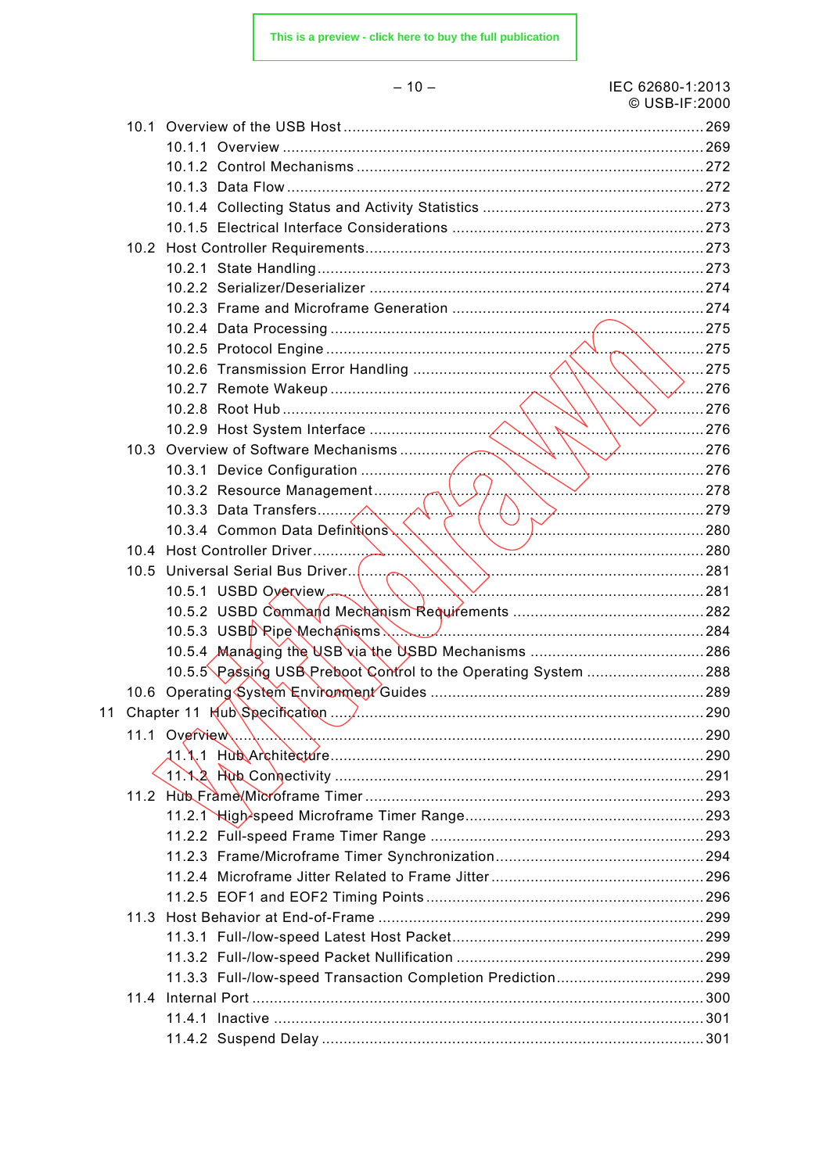$-10-$ 

## 

|    |      |                                        | UUU-II .ZUUU    |
|----|------|----------------------------------------|-----------------|
|    |      |                                        |                 |
|    |      |                                        |                 |
|    |      |                                        |                 |
|    |      |                                        |                 |
|    |      |                                        |                 |
|    |      |                                        |                 |
|    |      |                                        |                 |
|    |      |                                        |                 |
|    |      |                                        |                 |
|    |      |                                        |                 |
|    |      |                                        |                 |
|    |      |                                        | 275             |
|    |      |                                        | . 275           |
|    |      |                                        | $\sqrt{276}$    |
|    |      |                                        | . 276           |
|    |      |                                        | ັ……………276       |
|    |      |                                        | ,<br>…………………276 |
|    |      |                                        |                 |
|    |      |                                        |                 |
|    |      |                                        |                 |
|    |      | $\sqrt{2}$                             |                 |
|    |      | 10.3.4 Common Data Definitions<br>.    |                 |
|    |      | $\ldots$ $\diagup$ $\diagup$ $\ldots$  |                 |
|    |      |                                        |                 |
|    |      | $\swarrow$ 281<br>10.5.1 USBD Overview |                 |
|    |      |                                        |                 |
|    |      |                                        |                 |
|    |      |                                        |                 |
|    |      |                                        |                 |
|    |      |                                        |                 |
| 11 |      |                                        |                 |
|    |      |                                        |                 |
|    |      |                                        |                 |
|    |      |                                        |                 |
|    |      |                                        |                 |
|    |      |                                        |                 |
|    |      |                                        |                 |
|    |      |                                        |                 |
|    |      |                                        |                 |
|    |      |                                        |                 |
|    |      |                                        |                 |
|    |      |                                        |                 |
|    |      |                                        |                 |
|    |      |                                        |                 |
|    |      |                                        |                 |
|    | 11.4 |                                        |                 |
|    |      |                                        |                 |
|    |      |                                        |                 |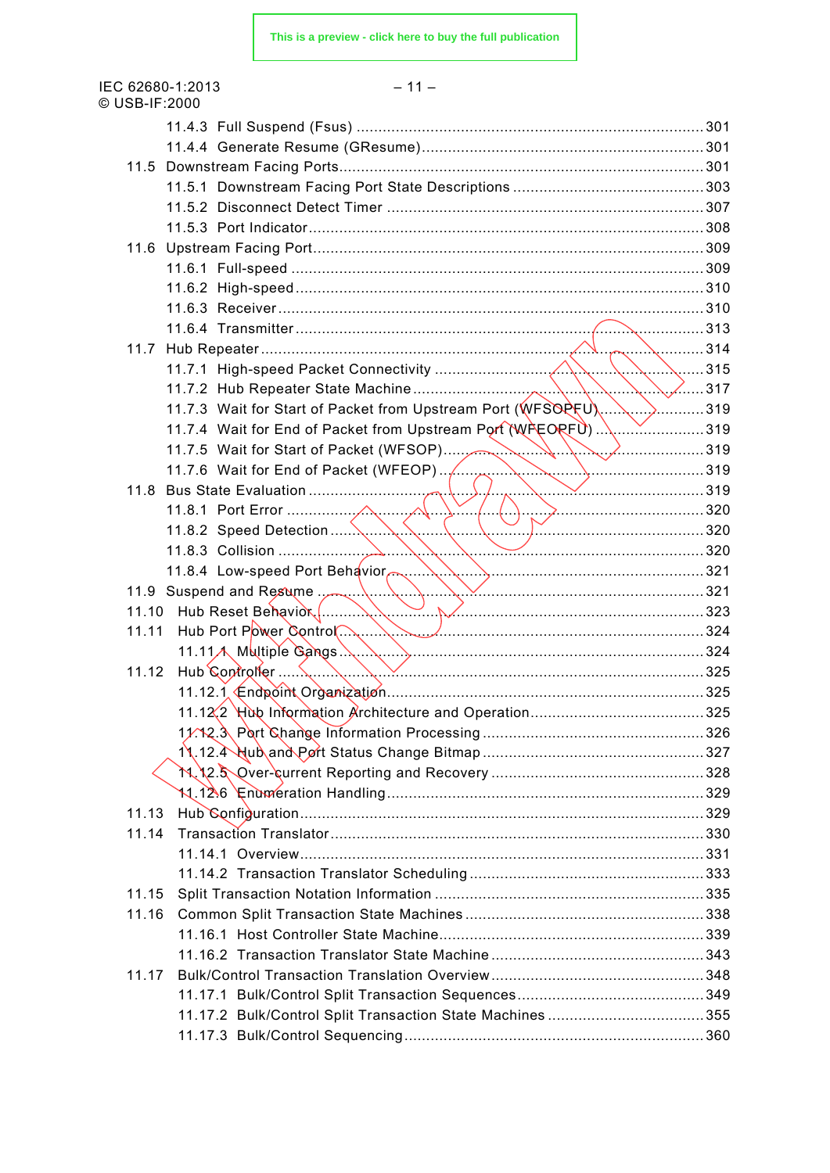IEC 62680-1:2013<br>© USB-IF:2000

| USB-IF:2000 |                                                                 |                   |
|-------------|-----------------------------------------------------------------|-------------------|
|             |                                                                 |                   |
|             |                                                                 |                   |
|             |                                                                 |                   |
|             |                                                                 |                   |
|             |                                                                 |                   |
|             |                                                                 |                   |
|             |                                                                 |                   |
|             |                                                                 |                   |
|             |                                                                 |                   |
|             |                                                                 |                   |
|             |                                                                 |                   |
|             |                                                                 | . 314             |
|             |                                                                 | $\sim$ $\sim$ 315 |
|             |                                                                 | $\sqrt{2}$ 317    |
|             | 11.7.3 Wait for Start of Packet from Upstream Port (WFSORFU)319 |                   |
|             | 11.7.4 Wait for End of Packet from Upstream Port (WFEORFU)      |                   |
|             |                                                                 |                   |
|             | 11.7.6 Wait for End of Packet (WFEOP)                           |                   |
|             |                                                                 |                   |
|             |                                                                 |                   |
|             |                                                                 |                   |
|             | $\sim$ 320                                                      |                   |
|             | 11.8.4 Low-speed Port Behavior                                  |                   |
|             | . N                                                             |                   |
|             |                                                                 |                   |
| 11.11       | Hub Port Power Control                                          |                   |
|             |                                                                 |                   |
| 11.12       | Hub Controller                                                  |                   |
|             |                                                                 |                   |
|             |                                                                 |                   |
|             |                                                                 |                   |
|             |                                                                 |                   |
|             |                                                                 |                   |
|             |                                                                 |                   |
| 11.13       |                                                                 |                   |
| 11.14       |                                                                 |                   |
|             |                                                                 |                   |
|             |                                                                 |                   |
| 11.15       |                                                                 |                   |
| 11.16       |                                                                 |                   |
|             |                                                                 |                   |
|             |                                                                 |                   |
| 11.17       |                                                                 |                   |
|             |                                                                 |                   |
|             | 11.17.2 Bulk/Control Split Transaction State Machines355        |                   |
|             |                                                                 |                   |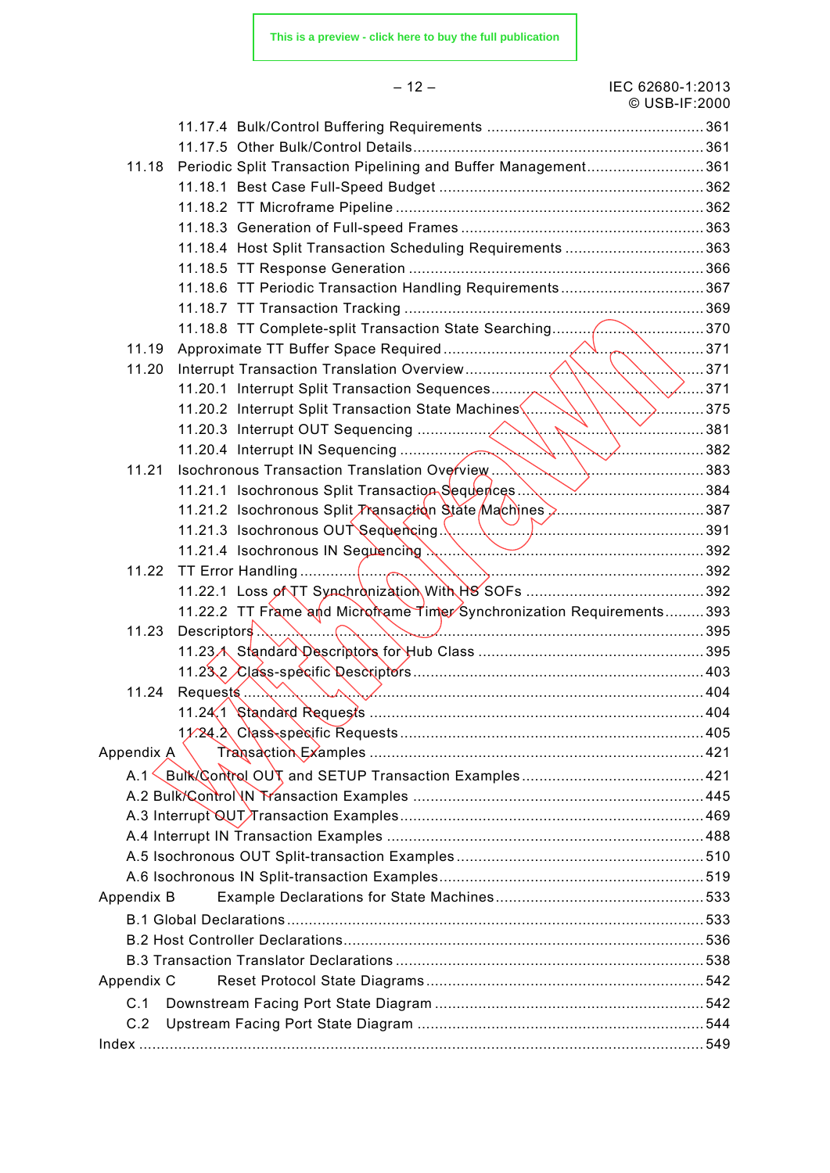– 12 – IEC 62680-1:2013 © USB-IF:2000

|            |                                                                       | <b>UUUL.</b> II-UUU |
|------------|-----------------------------------------------------------------------|---------------------|
|            |                                                                       |                     |
|            |                                                                       |                     |
| 11.18      | Periodic Split Transaction Pipelining and Buffer Management361        |                     |
|            |                                                                       |                     |
|            |                                                                       |                     |
|            |                                                                       |                     |
|            | 11.18.4 Host Split Transaction Scheduling Requirements 363            |                     |
|            |                                                                       |                     |
|            | 11.18.6 TT Periodic Transaction Handling Requirements367              |                     |
|            |                                                                       |                     |
|            | 11.18.8 TT Complete-split Transaction State Searching370              |                     |
| 11.19      |                                                                       | \371                |
| 11.20      | .<br>╲                                                                | $\sim$ 371          |
|            |                                                                       |                     |
|            |                                                                       |                     |
|            |                                                                       |                     |
|            |                                                                       |                     |
| 11.21      |                                                                       |                     |
|            |                                                                       |                     |
|            |                                                                       |                     |
|            |                                                                       |                     |
|            | 11.21.4 Isochronous IN Seguencing                                     |                     |
| 11.22      |                                                                       |                     |
|            |                                                                       |                     |
|            | 11.22.2 TT Frame and Microframe Timer Synchronization Requirements393 |                     |
| 11.23      |                                                                       |                     |
|            |                                                                       |                     |
|            |                                                                       |                     |
| 11.24      | Request<br>$\sim$ $\sim$ 404                                          |                     |
|            |                                                                       |                     |
|            |                                                                       |                     |
| Appendix A |                                                                       |                     |
|            |                                                                       |                     |
|            |                                                                       |                     |
|            |                                                                       |                     |
|            |                                                                       |                     |
|            |                                                                       |                     |
|            |                                                                       |                     |
| Appendix B |                                                                       |                     |
|            |                                                                       |                     |
|            |                                                                       |                     |
|            |                                                                       |                     |
| Appendix C |                                                                       |                     |
| C.1        |                                                                       |                     |
| C.2        |                                                                       |                     |
|            |                                                                       |                     |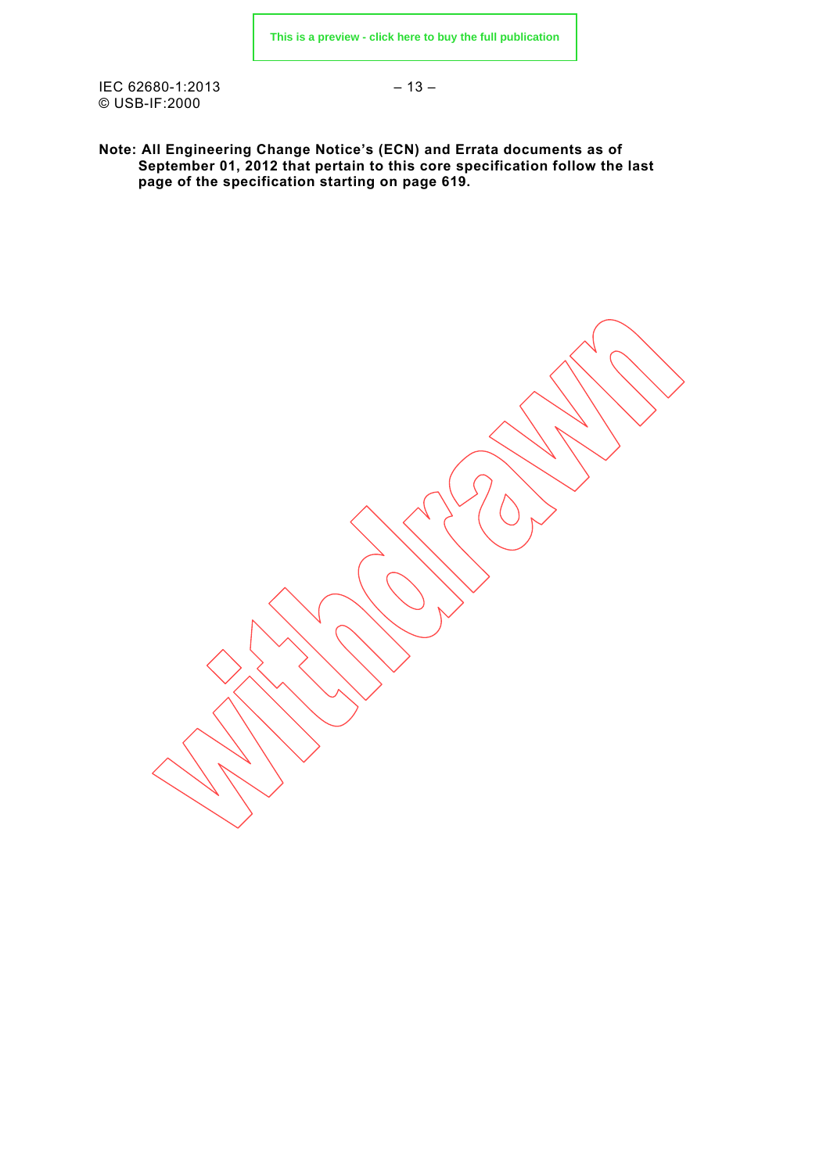IEC 62680-1:2013 – 13 – © USB-IF:2000

**Note: All Engineering Change Notice's (ECN) and Errata documents as of September 01, 2012 that pertain to this core specification follow the last page of the specification starting on page 619.**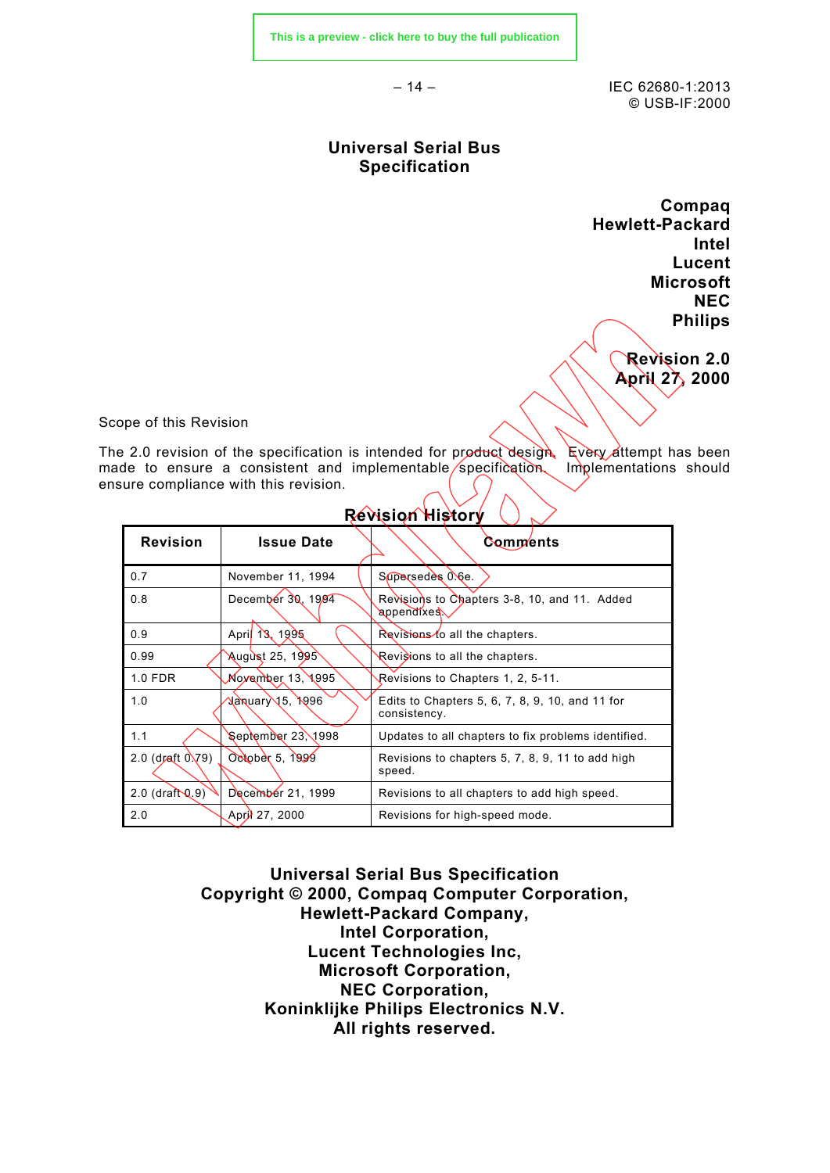$-14 -$  IEC 62680-1:2013 © USB-IF:2000

#### **Universal Serial Bus Specification**

**Compaq Hewlett-Packard Intel Lucent Microsoft NEC Philips**

**Revision 2.0 April 27, 2000**

Scope of this Revision

The 2.0 revision of the specification is intended for product design. Every attempt has been made to ensure a consistent and implementable specification. Implementations should made to ensure a consistent and implementable specification. ensure compliance with this revision.

| <b>Revision</b>             | <b>Issue Date</b>       | <b>Comments</b>                                                 |
|-----------------------------|-------------------------|-----------------------------------------------------------------|
| 0.7                         | November 11, 1994       | $Supersedes$ $0.6e$ .                                           |
| 0.8                         | December 30, 1994       | Revisions to Chapters 3-8, 10, and 11. Added<br>appendixes      |
| 0.9                         | April 13, 1995          | Revisions to all the chapters.                                  |
| 0.99                        | <b>August 25, 1995</b>  | Revisions to all the chapters.                                  |
| $1.0$ FDR                   | Movember 13, 1995       | Revisions to Chapters 1, 2, 5-11.                               |
| 1.0                         | <b>Nanuarv 15, 1996</b> | Edits to Chapters 5, 6, 7, 8, 9, 10, and 11 for<br>consistency. |
| 1.1                         | September 23, 1998      | Updates to all chapters to fix problems identified.             |
| $2.0$ (draft $0\sqrt{79}$ ) | October 5, 1999         | Revisions to chapters 5, 7, 8, 9, 11 to add high<br>speed.      |
| $2.0$ (draft $Q.9$ )        | December 21, 1999       | Revisions to all chapters to add high speed.                    |
| 2.0                         | April 27, 2000          | Revisions for high-speed mode.                                  |

### **Revision History**

**Universal Serial Bus Specification Copyright © 2000, Compaq Computer Corporation, Hewlett-Packard Company, Intel Corporation, Lucent Technologies Inc, Microsoft Corporation, NEC Corporation, Koninklijke Philips Electronics N.V. All rights reserved.**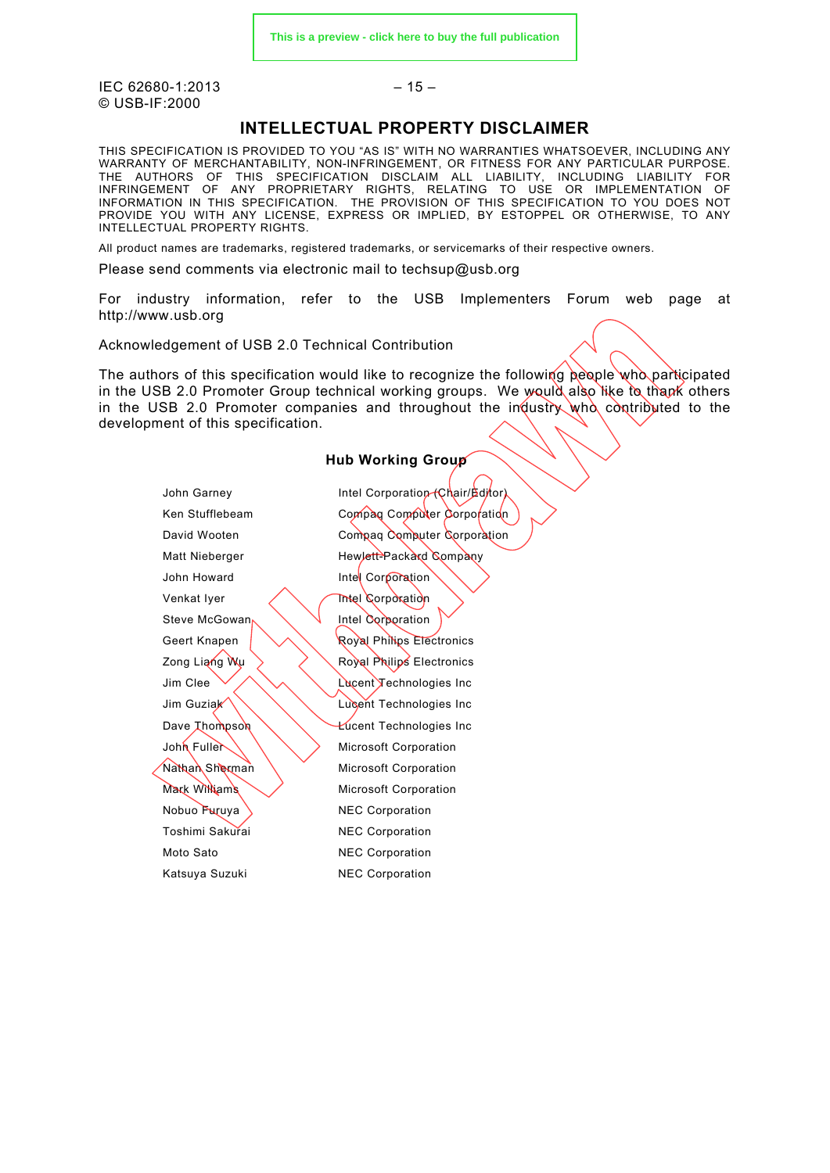$\text{IEC } 62680 - 1:2013$  – 15 – © USB-IF:2000

#### **INTELLECTUAL PROPERTY DISCLAIMER**

THIS SPECIFICATION IS PROVIDED TO YOU "AS IS" WITH NO WARRANTIES WHATSOEVER, INCLUDING ANY WARRANTY OF MERCHANTABILITY, NON-INFRINGEMENT, OR FITNESS FOR ANY PARTICULAR PURPOSE. THE AUTHORS OF THIS SPECIFICATION DISCLAIM ALL LIABILITY, INCLUDING LIABILITY FOR INFRINGEMENT OF ANY PROPRIETARY RIGHTS, RELATING TO USE OR IMPLEMENTATION OF INFORMATION IN THIS SPECIFICATION. THE PROVISION OF THIS SPECIFICATION TO YOU DOES NOT PROVIDE YOU WITH ANY LICENSE, EXPRESS OR IMPLIED, BY ESTOPPEL OR OTHERWISE, TO ANY INTELLECTUAL PROPERTY RIGHTS.

All product names are trademarks, registered trademarks, or servicemarks of their respective owners.

Please send comments via electronic mail to techsup@usb.org

For industry information, refer to the USB Implementers Forum web page at http://www.usb.org

Acknowledgement of USB 2.0 Technical Contribution

The authors of this specification would like to recognize the following people who participated in the USB 2.0 Promoter Group technical working groups. We would also like to thank others in the USB 2.0 Promoter companies and throughout the industry who contributed to the development of this specification.

| John Garney     | Intel Corporation <del>(</del> Chair/ <mark>Bditor)</mark> |
|-----------------|------------------------------------------------------------|
| Ken Stufflebeam | Compag Computer Corporation                                |
| David Wooten    | Compaq Computer Corporation                                |
| Matt Nieberger  | Hewlett-Packard Company                                    |
| John Howard     | Intel Corporation                                          |
| Venkat Iyer     | <b>Intel Corporation</b>                                   |
| Steve McGowan,  | Intel Corporation                                          |
| Geert Knapen    | Royal Philips Electronics                                  |
| Zong Liang Wu   | Royal Philips Electronics                                  |
| Jim Clee        | Lucent Technologies Inc                                    |
| Jim Guziak      | Lucent Technologies Inc                                    |
| Dave Thompson   | Lucent Technologies Inc                                    |
| John Fuller     | <b>Microsoft Corporation</b>                               |
| Nathan Sherman  | <b>Microsoft Corporation</b>                               |
| Mark Williams   | <b>Microsoft Corporation</b>                               |
| Nobuo Puruya    | <b>NEC Corporation</b>                                     |
| Toshimi Sakurai | <b>NEC Corporation</b>                                     |
| Moto Sato       | <b>NEC Corporation</b>                                     |
| Katsuya Suzuki  | <b>NEC Corporation</b>                                     |

## **Hub Working Group**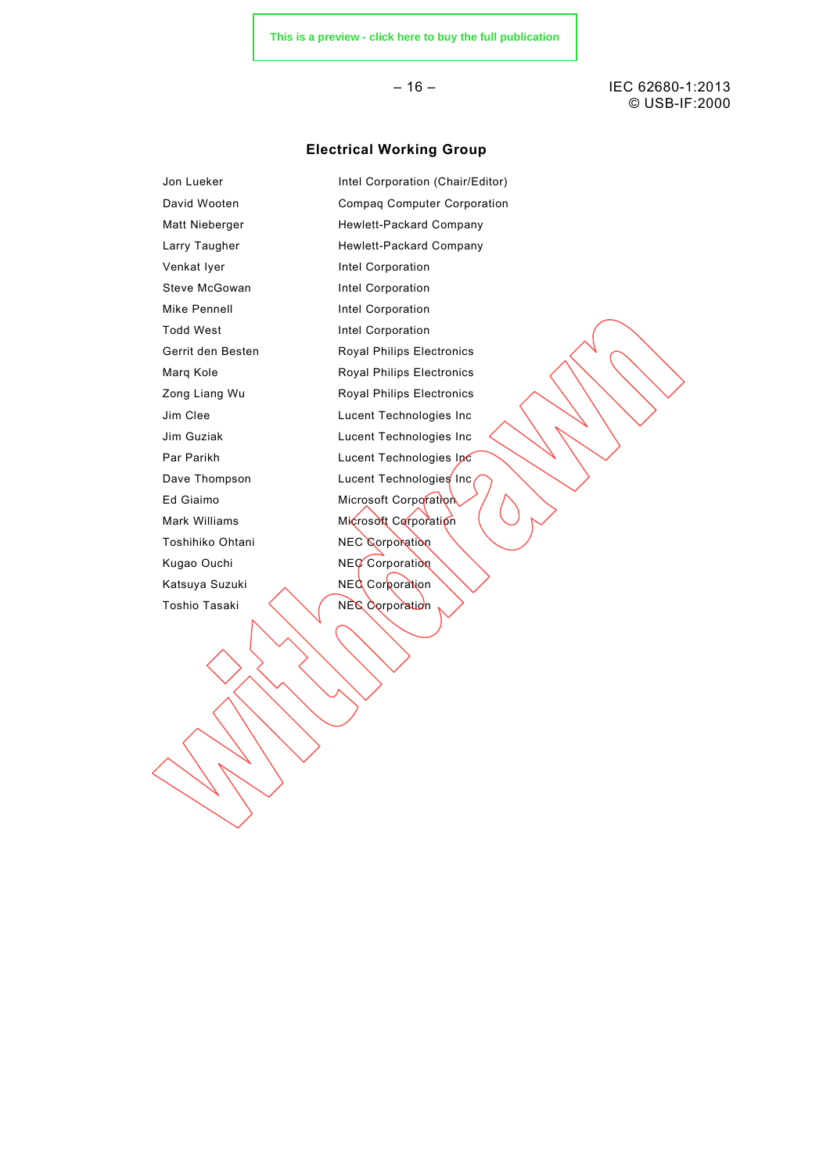– 16 – IEC 62680-1:2013 © USB-IF:2000

#### **Electrical Working Group**

Jon Lueker **Intel Corporation (Chair/Editor)** David Wooten Compaq Computer Corporation Matt Nieberger **Hewlett-Packard Company** Larry Taugher **Hewlett-Packard Company** Venkat Iyer **Intel Corporation** Steve McGowan **Intel Corporation** Mike Pennell **Intel Corporation** Todd West **Intel Corporation** Gerrit den Besten **Royal Philips Electronics** Marq Kole **Marq Kole** Royal Philips Electronics Zong Liang Wu **Royal Philips Electronics** Jim Clee Lucent Technologies Inc Jim Guziak Lucent Technologies Inc Par Parikh Lucent Technologies Ipc Dave Thompson **Lucent Technologies** Inc Ed Giaimo Microsoft Corporation Mark Williams Microsoft Corporation Toshihiko Ohtani NEC Corporation Kugao Ouchi NEC Corporation Katsuya Suzuki Annung NEC Corporation Toshio Tasaki < \\ NEC Corporation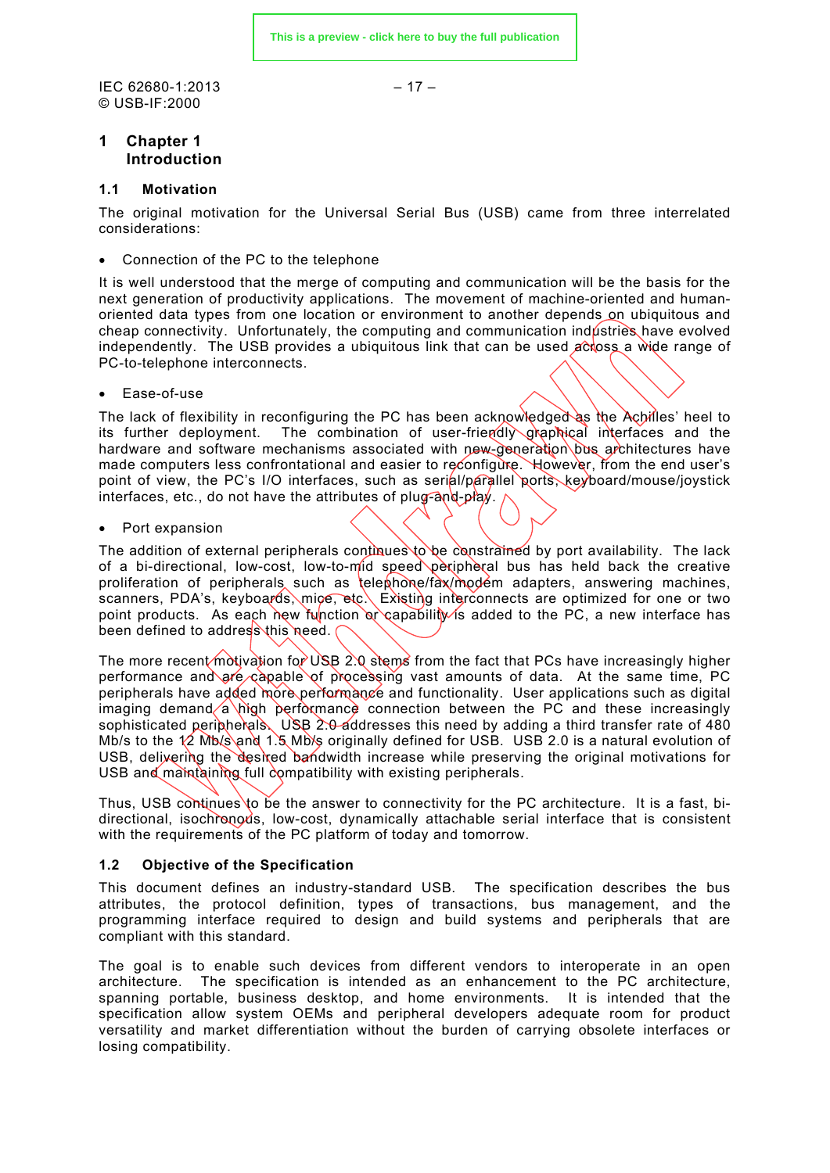$IEC 62680-1:2013$  – 17 – © USB-IF:2000

#### **1 Chapter 1 Introduction**

#### **1.1 Motivation**

The original motivation for the Universal Serial Bus (USB) came from three interrelated considerations:

• Connection of the PC to the telephone

It is well understood that the merge of computing and communication will be the basis for the next generation of productivity applications. The movement of machine-oriented and humanoriented data types from one location or environment to another depends on ubiquitous and cheap connectivity. Unfortunately, the computing and communication industries have evolved independently. The USB provides a ubiquitous link that can be used  $\alpha$   $\alpha$   $\alpha$   $\beta$  and  $\alpha$  and  $\alpha$  of  $\alpha$ PC-to-telephone interconnects.

• Ease-of-use

The lack of flexibility in reconfiguring the PC has been acknowledged as the Achilles' heel to its further deployment. The combination of user-friendly graphical interfaces and the hardware and software mechanisms associated with new-generation bus architectures have made computers less confrontational and easier to reconfigure. However, from the end user's point of view, the PC's I/O interfaces, such as serial/parallel ports, keyboard/mouse/joystick interfaces, etc., do not have the attributes of plug-and-play.

Port expansion

The addition of external peripherals continues to be constrained by port availability. The lack of a bi-directional, low-cost, low-to-mid speed peripheral bus has held back the creative proliferation of peripherals such as telephone/fax/modem adapters, answering machines, scanners, PDA's, keyboards, mice, etc. Existing interconnects are optimized for one or two point products. As each new function or capability is added to the PC, a new interface has been defined to address this need.

The more recent motivation for USB 2.0 stems from the fact that PCs have increasingly higher performance and are capable of processing vast amounts of data. At the same time, PC peripherals have added more performance and functionality. User applications such as digital  $\frac{1}{2}$  imaging demand a high performance connection between the PC and these increasingly sophisticated peripherals. USB 2.0 addresses this need by adding a third transfer rate of 480 Mb/s to the 12 Mb/s and 1.5 Mb/s originally defined for USB. USB 2.0 is a natural evolution of USB, delivering the desired bandwidth increase while preserving the original motivations for USB and maintaining full compatibility with existing peripherals.

Thus, USB continues to be the answer to connectivity for the PC architecture. It is a fast, bidirectional, isochronous, low-cost, dynamically attachable serial interface that is consistent with the requirements of the PC platform of today and tomorrow.

#### **1.2 Objective of the Specification**

This document defines an industry-standard USB. The specification describes the bus attributes, the protocol definition, types of transactions, bus management, and the programming interface required to design and build systems and peripherals that are compliant with this standard.

The goal is to enable such devices from different vendors to interoperate in an open architecture. The specification is intended as an enhancement to the PC architecture, spanning portable, business desktop, and home environments. It is intended that the specification allow system OEMs and peripheral developers adequate room for product versatility and market differentiation without the burden of carrying obsolete interfaces or losing compatibility.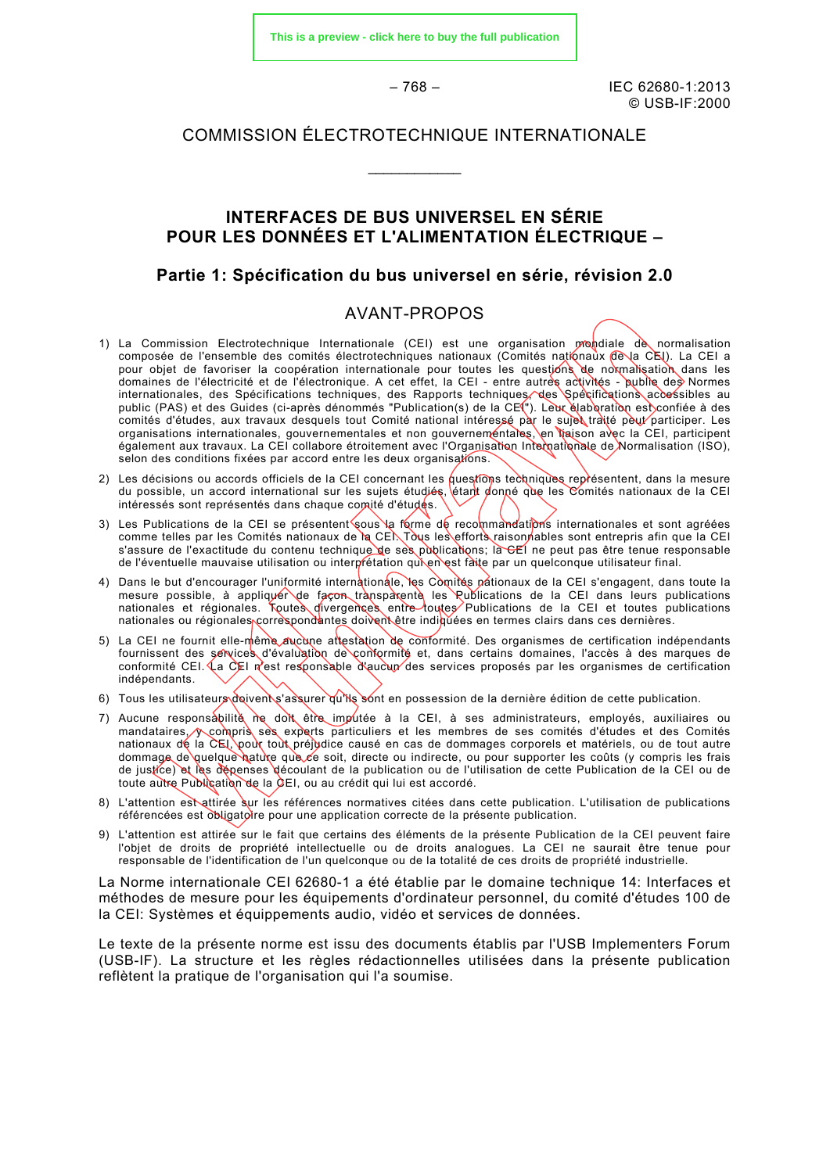$-768 - 12013$ © USB-IF:2000

### COMMISSION ÉLECTROTECHNIQUE INTERNATIONALE

\_\_\_\_\_\_\_\_\_\_\_\_

#### **INTERFACES DE BUS UNIVERSEL EN SÉRIE POUR LES DONNÉES ET L'ALIMENTATION ÉLECTRIQUE –**

#### **Partie 1: Spécification du bus universel en série, révision 2.0**

#### AVANT-PROPOS

- 1) La Commission Electrotechnique Internationale (CEI) est une organisation mondiale de normalisation composée de l'ensemble des comités électrotechniques nationaux (Comités nationaux de la CEI). La CEI a pour objet de favoriser la coopération internationale pour toutes les questions de normalisation dans les domaines de l'électricité et de l'électronique. A cet effet, la CEI - entre autres activités - publie des Normes internationales, des Spécifications techniques, des Rapports techniques, des Spécifications accessibles au public (PAS) et des Guides (ci-après dénommés "Publication(s) de la CE("). Leur élaboration est confiée à des comités d'études, aux travaux desquels tout Comité national intéressé par le sujet traité peut participer. Les organisations internationales, gouvernementales et non gouvernementales, en liaison avec la CEI, participent également aux travaux. La CEI collabore étroitement avec l'Organisation Internationale de Normalisation (ISO), selon des conditions fixées par accord entre les deux organisations.
- 2) Les décisions ou accords officiels de la CEI concernant les questions techniques représentent, dans la mesure du possible, un accord international sur les sujets étudiés, étant donné que les Comités nationaux de la CEI intéressés sont représentés dans chaque comité d'étudés.
- 3) Les Publications de la CEI se présentent sous la forme de recommandations internationales et sont agréées comme telles par les Comités nationaux de la CEI. Tous les efforts raisonnables sont entrepris afin que la CEI s'assure de l'exactitude du contenu technique de ses publications; la CEI ne peut pas être tenue responsable de l'éventuelle mauvaise utilisation ou interprétation qui en est faite par un quelconque utilisateur final.
- 4) Dans le but d'encourager l'uniformité internationale, les Comités pationaux de la CEI s'engagent, dans toute la mesure possible, à appliquér de façon trànsparente les Rublications de la CEI dans leurs publications nationales et régionales. Toutes divergences entre toutes Publications de la CEI et toutes publications nationales ou régionales correspondantes doivent être indiquées en termes clairs dans ces dernières.
- 5) La CEI ne fournit elle-même aucune attestation de conformité. Des organismes de certification indépendants fournissent des services d'évaluation de conformité et, dans certains domaines, l'accès à des marques de conformité CEI. La CEI n'est responsable d'aucun des services proposés par les organismes de certification indépendants.
- 6) Tous les utilisateurs doivents 'assurer qu'ils sont en possession de la dernière édition de cette publication.
- 7) Aucune responsabilité ne doit être imputée à la CEI, à ses administrateurs, employés, auxiliaires ou mandataires, y compris ses experts particuliers et les membres de ses comités d'études et des Comités nationaux de la CEI, pour tout préjudice causé en cas de dommages corporels et matériels, ou de tout autre dommage de quelque nature que ce soit, directe ou indirecte, ou pour supporter les coûts (y compris les frais de justice) et les dépenses découlant de la publication ou de l'utilisation de cette Publication de la CEI ou de toute autre Publication de la CEI, ou au crédit qui lui est accordé.
- 8) L'attention est attirée sur les références normatives citées dans cette publication. L'utilisation de publications référencées est obligatoire pour une application correcte de la présente publication.
- 9) L'attention est attirée sur le fait que certains des éléments de la présente Publication de la CEI peuvent faire l'objet de droits de propriété intellectuelle ou de droits analogues. La CEI ne saurait être tenue pour responsable de l'identification de l'un quelconque ou de la totalité de ces droits de propriété industrielle.

La Norme internationale CEI 62680-1 a été établie par le domaine technique 14: Interfaces et méthodes de mesure pour les équipements d'ordinateur personnel, du comité d'études 100 de la CEI: Systèmes et équippements audio, vidéo et services de données.

Le texte de la présente norme est issu des documents établis par l'USB Implementers Forum (USB-IF). La structure et les règles rédactionnelles utilisées dans la présente publication reflètent la pratique de l'organisation qui l'a soumise.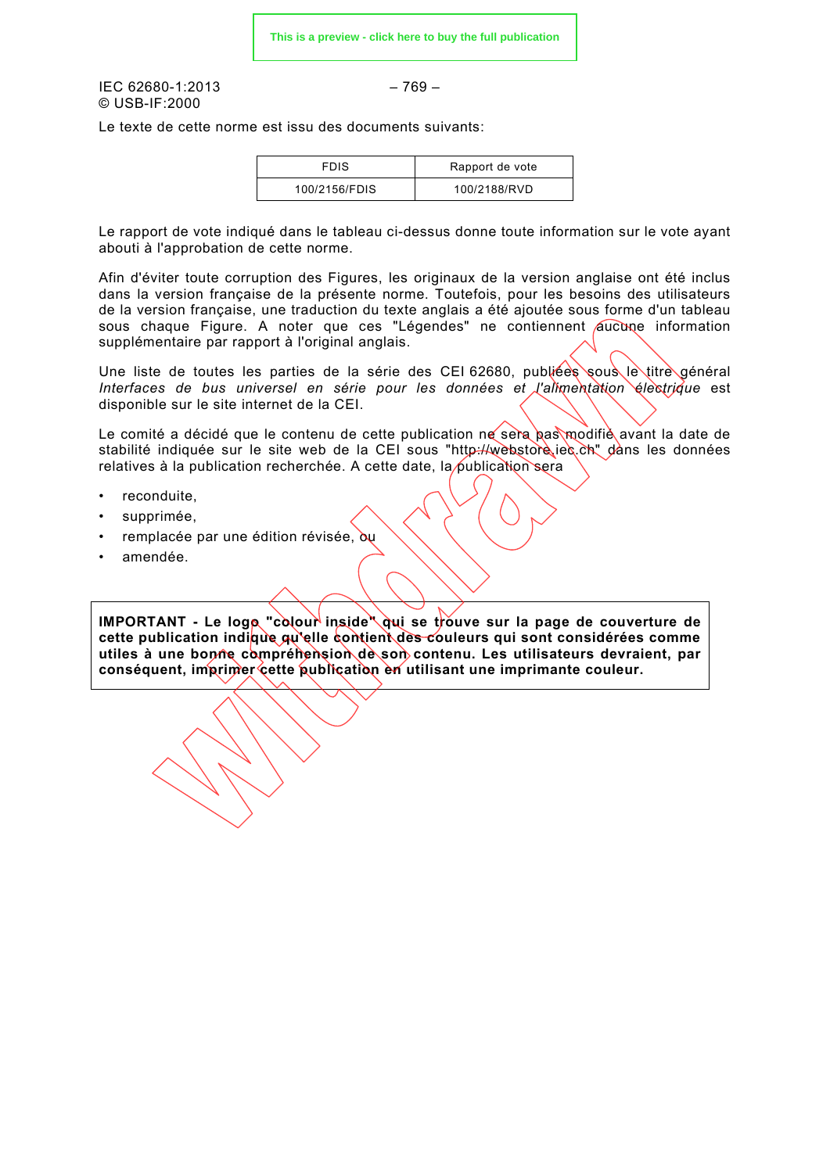$IEC 62680-1:2013$  – 769 –  $@$  USB-IF:2000

Le texte de cette norme est issu des documents suivants:

| <b>FDIS</b>   | Rapport de vote |
|---------------|-----------------|
| 100/2156/FDIS | 100/2188/RVD    |

Le rapport de vote indiqué dans le tableau ci-dessus donne toute information sur le vote ayant abouti à l'approbation de cette norme.

Afin d'éviter toute corruption des Figures, les originaux de la version anglaise ont été inclus dans la version française de la présente norme. Toutefois, pour les besoins des utilisateurs de la version française, une traduction du texte anglais a été ajoutée sous forme d'un tableau sous chaque Figure. A noter que ces "Légendes" ne contiennent aucune information supplémentaire par rapport à l'original anglais.

Une liste de toutes les parties de la série des CEI 62680, publiées sous le titre général *Interfaces de bus universel en série pour les données et l'alimentation électrique* est disponible sur le site internet de la CEI.

Le comité a décidé que le contenu de cette publication ne sera pas modifié avant la date de stabilité indiquée sur le site web de la CEI sous "http://webstore.iec.ch" dans les données relatives à la publication recherchée. A cette date, la publication sera

- reconduite,
- supprimée.
- remplacée par une édition révisée, ou
- amendée.

**IMPORTANT - Le logo "colour inside" qui se trouve sur la page de couverture de cette publication indique qu'elle contient des couleurs qui sont considérées comme utiles à une bonne compréhension de son contenu. Les utilisateurs devraient, par conséquent, imprimer cette publication en utilisant une imprimante couleur.**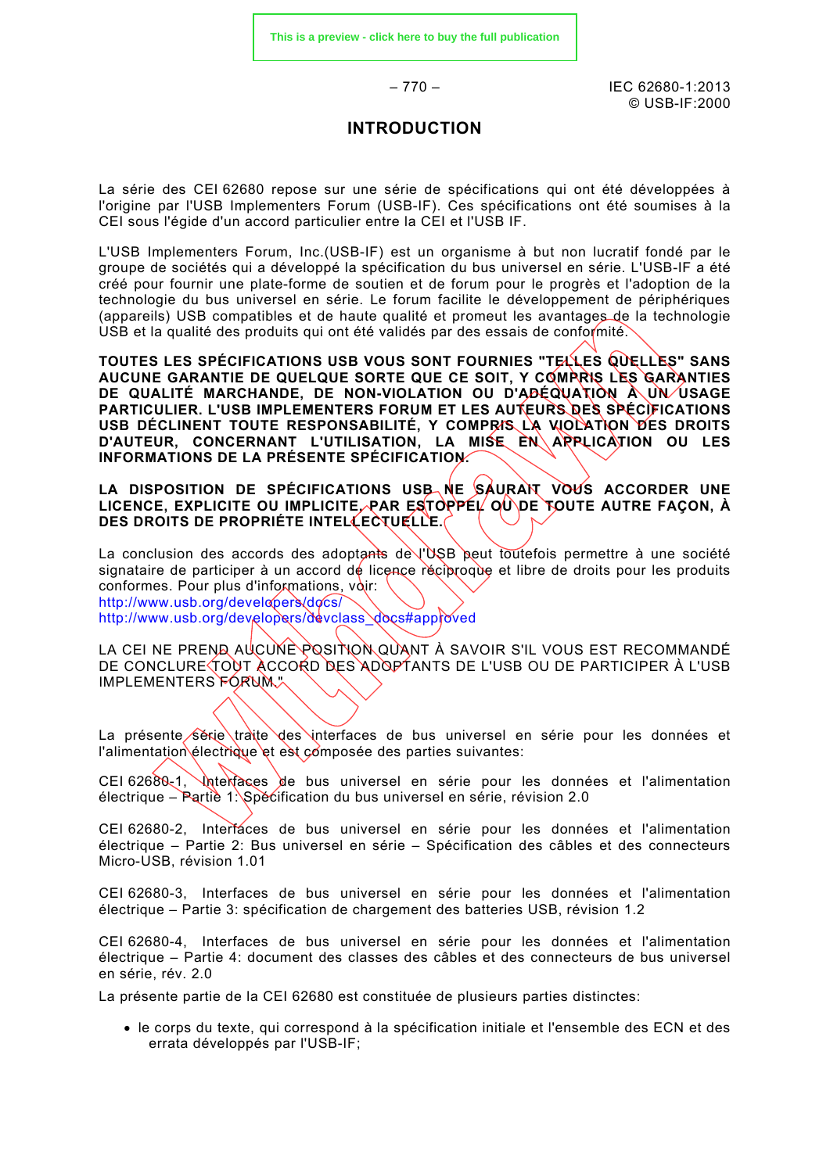$-770 - 150 = 150$ © USB-IF:2000

#### **INTRODUCTION**

La série des CEI 62680 repose sur une série de spécifications qui ont été développées à l'origine par l'USB Implementers Forum (USB-IF). Ces spécifications ont été soumises à la CEI sous l'égide d'un accord particulier entre la CEI et l'USB IF.

L'USB Implementers Forum, Inc.(USB-IF) est un organisme à but non lucratif fondé par le groupe de sociétés qui a développé la spécification du bus universel en série. L'USB-IF a été créé pour fournir une plate-forme de soutien et de forum pour le progrès et l'adoption de la technologie du bus universel en série. Le forum facilite le développement de périphériques (appareils) USB compatibles et de haute qualité et promeut les avantages de la technologie USB et la qualité des produits qui ont été validés par des essais de conformité.

TOUTES LES SPÉCIFICATIONS USB VOUS SONT FOURNIES "TELLES QUELLES" SANS **AUCUNE GARANTIE DE QUELQUE SORTE QUE CE SOIT, Y COMPRIS LES GARANTIES DE QUALITÉ MARCHANDE, DE NON-VIOLATION OU D'ADÉQUATION À UN USAGE PARTICULIER. L'USB IMPLEMENTERS FORUM ET LES AUTEURS DES SPÉCIFICATIONS USB DÉCLINENT TOUTE RESPONSABILITÉ, Y COMPRIS LA VIOLATION DES DROITS D'AUTEUR, CONCERNANT L'UTILISATION, LA MISE EN APPLICATION OU LES INFORMATIONS DE LA PRÉSENTE SPÉCIFICATION.**

#### LA DISPOSITION DE SPÉCIFICATIONS USB NE SAURAIT VOUS ACCORDER UNE LICENCE, EXPLICITE OU IMPLICITE, PAR ESTOPPEL OU DE TOUTE AUTRE FAÇON, À **DES DROITS DE PROPRIÉTE INTELLECTUELLE.**

La conclusion des accords des adoptants de l'USB peut toutefois permettre à une société signataire de participer à un accord dé licence réciproque et libre de droits pour les produits conformes. Pour plus d'informations, voir: <http://www.usb.org/developers/docs/>

[http://www.usb.org/developers/devclass\\_docs#approved](http://www.usb.org/developers/devclass_docs)

LA CEI NE PREND AUCUNE POSITION QUANT À SAVOIR S'IL VOUS EST RECOMMANDÉ DE CONCLURE TOUT ACCORD DES ADOPTANTS DE L'USB OU DE PARTICIPER À L'USB IMPLEMENTERS FORUM."

La présente série traite des interfaces de bus universel en série pour les données et l'alimentation électrique et est composée des parties suivantes:

CEI 62680-1, Interfaces de bus universel en série pour les données et l'alimentation électrique – Partie 1: Spécification du bus universel en série, révision 2.0

CEI 62680-2, Interfaces de bus universel en série pour les données et l'alimentation électrique – Partie 2: Bus universel en série – Spécification des câbles et des connecteurs Micro-USB, révision 1.01

CEI 62680-3, Interfaces de bus universel en série pour les données et l'alimentation électrique – Partie 3: spécification de chargement des batteries USB, révision 1.2

CEI 62680-4, Interfaces de bus universel en série pour les données et l'alimentation électrique – Partie 4: document des classes des câbles et des connecteurs de bus universel en série, rév. 2.0

La présente partie de la CEI 62680 est constituée de plusieurs parties distinctes:

• le corps du texte, qui correspond à la spécification initiale et l'ensemble des ECN et des errata développés par l'USB-IF;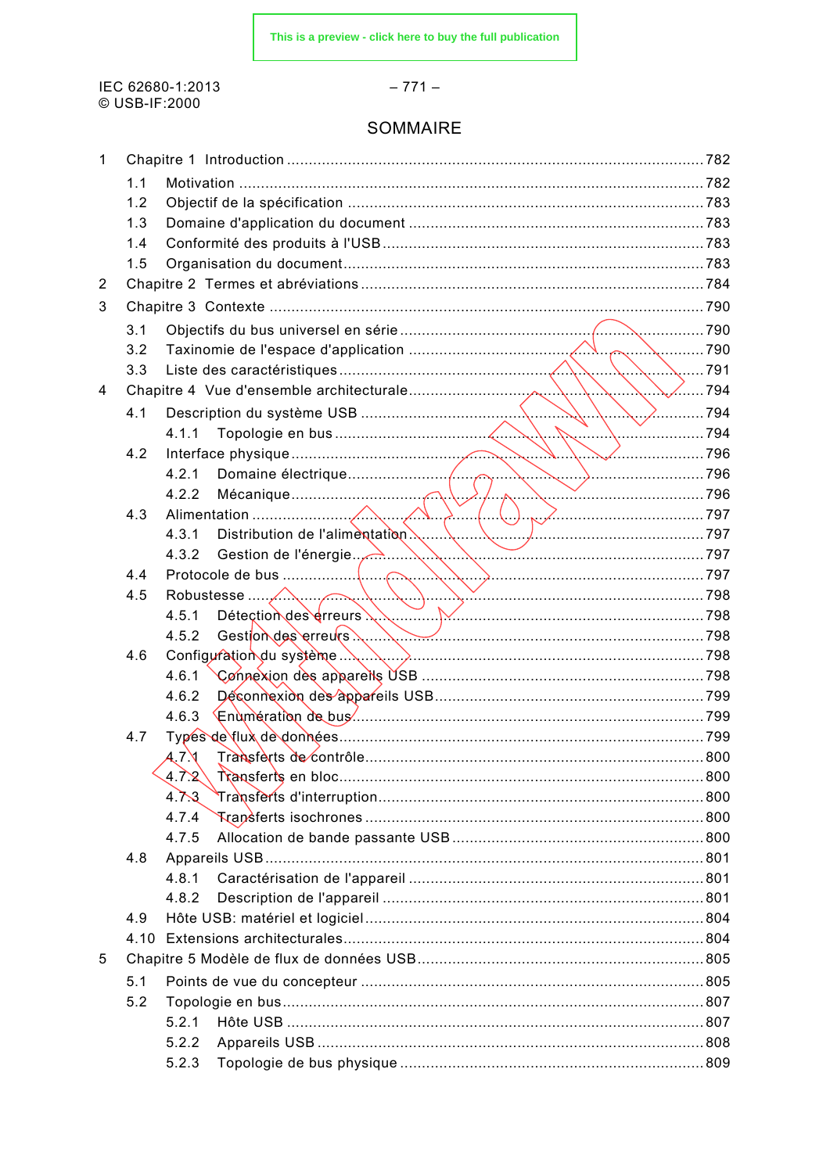IEC 62680-1:2013 © USB-IF:2000

#### $-771-$

### SOMMAIRE

| 1 |      |                                              |                |
|---|------|----------------------------------------------|----------------|
|   | 1.1  |                                              |                |
|   | 1.2  |                                              |                |
|   | 1.3  |                                              |                |
|   | 1.4  |                                              |                |
|   | 1.5  |                                              |                |
| 2 |      |                                              |                |
| 3 |      |                                              |                |
|   | 3.1  |                                              |                |
|   | 3.2  |                                              | 790            |
|   | 3.3  |                                              | 791            |
| 4 |      |                                              | $\sqrt{1}$ 794 |
|   | 4.1  | $\ldots$ . 2. 2. 2. 2. 794                   |                |
|   |      | . 794<br>4.1.1                               |                |
|   | 4.2  |                                              |                |
|   |      | 4.2.1                                        |                |
|   |      | 4.2.2                                        |                |
|   | 4.3  | . 1                                          |                |
|   |      | Distribution de l'alimentation<br>4.3.1<br>. |                |
|   |      | $\sqrt{27}$<br>4.3.2                         |                |
|   | 4.4  | $\sim$ 797                                   |                |
|   | 4.5  |                                              |                |
|   |      | 4.5.1                                        |                |
|   |      | 4.5.2                                        |                |
|   | 4.6  |                                              |                |
|   |      | 4.6.1                                        |                |
|   |      | 4.6.2                                        |                |
|   |      | 4.6.3                                        |                |
|   | 4.7  |                                              |                |
|   |      | 4. 7 N                                       |                |
|   |      |                                              | .800           |
|   |      | 4.73                                         |                |
|   |      | 4.7.4                                        |                |
|   |      | 4.7.5                                        |                |
|   | 4.8  |                                              |                |
|   |      | 4.8.1                                        |                |
|   |      | 4.8.2                                        |                |
|   | 4.9  |                                              |                |
|   | 4.10 |                                              |                |
| 5 |      |                                              |                |
|   | 5.1  |                                              |                |
|   | 5.2  |                                              |                |
|   |      | 5.2.1                                        |                |
|   |      | 5.2.2                                        |                |
|   |      | 5.2.3                                        |                |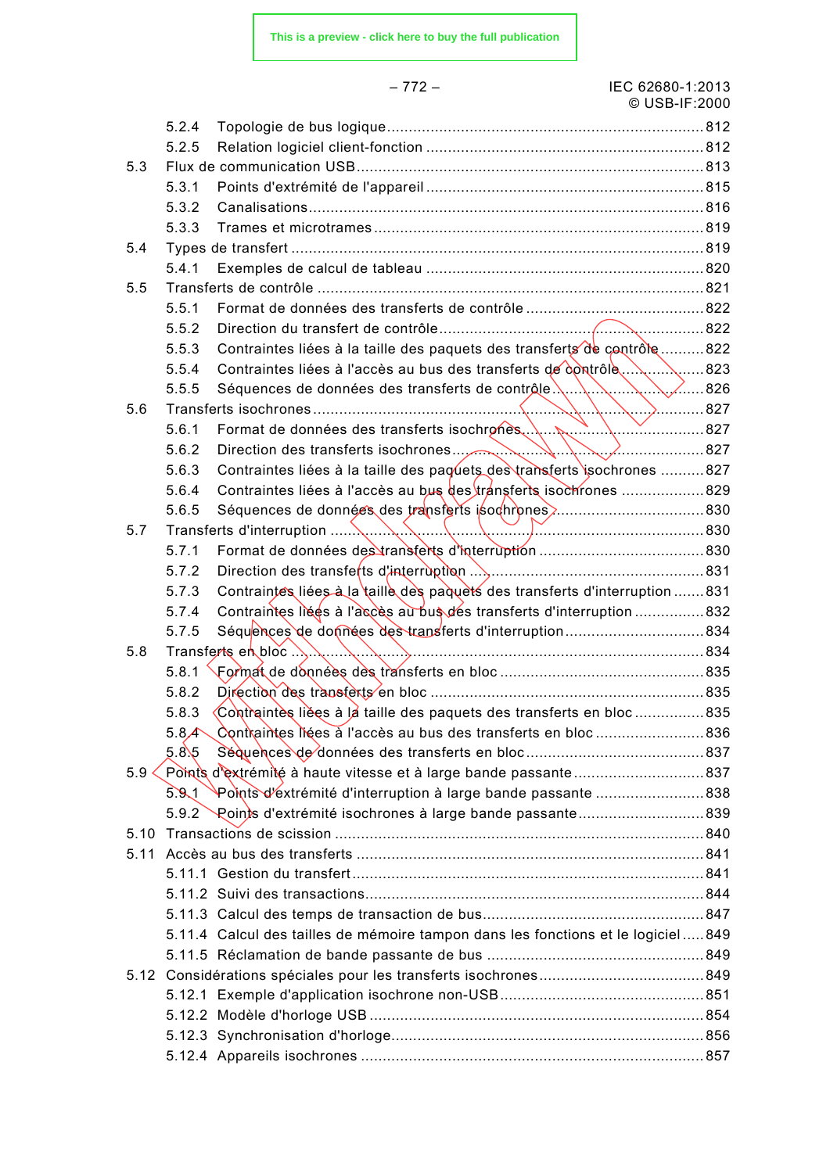– 772 – IEC 62680-1:2013 © USB-IF:2000

|      | 5.2.4            |                                                                                  |  |
|------|------------------|----------------------------------------------------------------------------------|--|
|      | 5.2.5            |                                                                                  |  |
| 5.3  |                  |                                                                                  |  |
|      | 5.3.1            |                                                                                  |  |
|      | 5.3.2            |                                                                                  |  |
|      | 5.3.3            |                                                                                  |  |
| 5.4  |                  |                                                                                  |  |
|      | 5.4.1            |                                                                                  |  |
| 5.5  |                  |                                                                                  |  |
|      | 5.5.1            |                                                                                  |  |
|      | 5.5.2            |                                                                                  |  |
|      | 5.5.3            | Contraintes liées à la taille des paquets des transferts de contrôle  822        |  |
|      | 5.5.4            | Contraintes liées à l'accès au bus des transferts de contrôle823                 |  |
|      | 5.5.5            | Séquences de données des transferts de contrôle.\\\\\826                         |  |
| 5.6  |                  | $\setminus$ 327                                                                  |  |
|      | 5.6.1            |                                                                                  |  |
|      | 5.6.2            |                                                                                  |  |
|      | 5.6.3            | Contraintes liées à la taille des paguets des transferts isochrones 827          |  |
|      | 5.6.4            | Contraintes liées à l'accès au bus des transferts isochrones  829                |  |
|      | 5.6.5            |                                                                                  |  |
| 5.7  |                  |                                                                                  |  |
|      | 5.7.1            |                                                                                  |  |
|      | 5.7.2            |                                                                                  |  |
|      | 5.7.3            | Contraintes liées à la taille des paquets des transferts d'interruption 831      |  |
|      | 5.7.4            | Contraintes liées à l'accès au bus des transferts d'interruption 832             |  |
|      | 5.7.5            |                                                                                  |  |
| 5.8  |                  | Transferts en bloc.                                                              |  |
|      |                  |                                                                                  |  |
|      | 5.8.2            |                                                                                  |  |
|      |                  |                                                                                  |  |
|      | 5.8.3            | Contraintès lièes à la taille des paquets des transferts en bloc 835             |  |
|      | 5.8 <sub>A</sub> | Contraintes liées à l'accès au bus des transferts en bloc  836                   |  |
|      | 5.85             |                                                                                  |  |
| 5.9  |                  |                                                                                  |  |
|      | $5.9 - 1$        | Points d'extrémité d'interruption à large bande passante 838                     |  |
|      |                  |                                                                                  |  |
| 5.10 |                  |                                                                                  |  |
|      |                  |                                                                                  |  |
|      |                  |                                                                                  |  |
|      |                  |                                                                                  |  |
|      |                  |                                                                                  |  |
|      |                  | 5.11.4 Calcul des tailles de mémoire tampon dans les fonctions et le logiciel849 |  |
|      |                  |                                                                                  |  |
|      |                  |                                                                                  |  |
|      |                  |                                                                                  |  |
|      |                  |                                                                                  |  |
|      |                  |                                                                                  |  |
|      |                  |                                                                                  |  |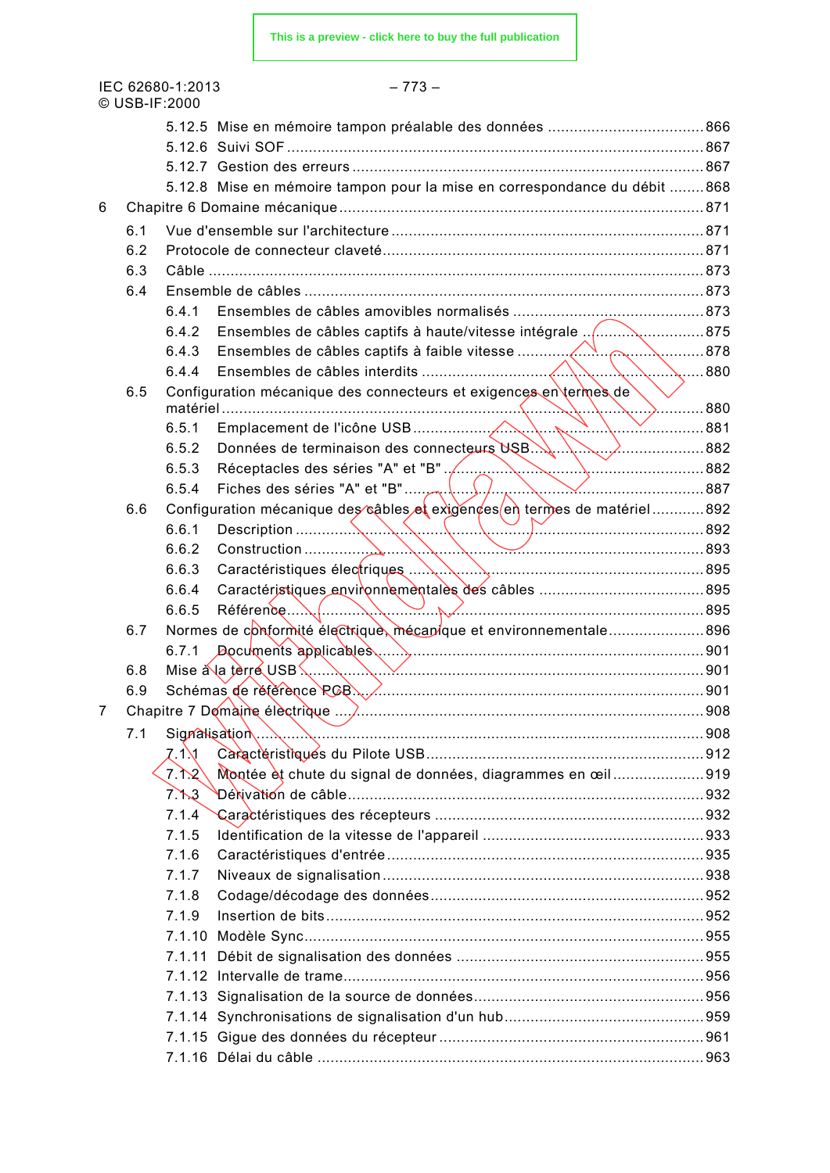| IEC 62680-1:2013<br>© USB-IF:2000 |     |                 | $-773-$                                                                   |     |
|-----------------------------------|-----|-----------------|---------------------------------------------------------------------------|-----|
|                                   |     |                 |                                                                           |     |
|                                   |     |                 |                                                                           |     |
|                                   |     |                 |                                                                           |     |
|                                   |     |                 | 5.12.8 Mise en mémoire tampon pour la mise en correspondance du débit 868 |     |
| 6                                 |     |                 |                                                                           |     |
|                                   | 6.1 |                 |                                                                           |     |
|                                   | 6.2 |                 |                                                                           |     |
|                                   | 6.3 |                 |                                                                           |     |
|                                   | 6.4 |                 |                                                                           |     |
|                                   |     | 6.4.1           |                                                                           |     |
|                                   |     | 6.4.2           | Ensembles de câbles captifs à haute/vitesse intégrale 875                 |     |
|                                   |     | 6.4.3           | 878                                                                       |     |
|                                   |     | 6.4.4           | \\\880                                                                    |     |
|                                   | 6.5 |                 | Configuration mécanique des connecteurs et exigences en termes de         | 880 |
|                                   |     | 6.5.1           | . 881<br>イン・イー                                                            |     |
|                                   |     | 6.5.2           |                                                                           |     |
|                                   |     | 6.5.3           | Réceptacles des séries "A" et "B"                                         |     |
|                                   |     | 6.5.4           |                                                                           |     |
|                                   | 6.6 |                 | Configuration mécanique des câbles et exigences en termes de matériel892  |     |
|                                   |     | 6.6.1           |                                                                           |     |
|                                   |     | 6.6.2           | Construction<br>$\sim$ 893                                                |     |
|                                   |     | 6.6.3           |                                                                           |     |
|                                   |     | 6.6.4           |                                                                           |     |
|                                   |     | 6.6.5           | Référenbe<br>$\sim$ $\sim$ 895                                            |     |
|                                   | 6.7 |                 |                                                                           |     |
|                                   |     | 6.7.1           |                                                                           |     |
|                                   | 6.8 |                 | Mise ala terre USB \                                                      |     |
|                                   | 6.9 |                 | Schémas de référènce RCB                                                  |     |
| 7                                 |     |                 |                                                                           |     |
|                                   | 7.1 |                 |                                                                           |     |
|                                   |     | 7.1             |                                                                           |     |
|                                   |     | 7.12'           | Montée et chute du signal de données, diagrammes en œil919                |     |
|                                   |     | $7\mathcal{N}3$ | \Dé\ivation de câble……………………………………………………………………932                         |     |
|                                   |     | 7.1.4           |                                                                           |     |
|                                   |     | 7.1.5           |                                                                           |     |
|                                   |     | 7.1.6           |                                                                           |     |
|                                   |     | 7.1.7           |                                                                           |     |
|                                   |     | 7.1.8<br>7.1.9  |                                                                           |     |
|                                   |     | 7.1.10          |                                                                           |     |
|                                   |     |                 |                                                                           |     |
|                                   |     |                 |                                                                           |     |
|                                   |     |                 |                                                                           |     |
|                                   |     |                 |                                                                           |     |
|                                   |     |                 |                                                                           |     |
|                                   |     |                 |                                                                           |     |
|                                   |     |                 |                                                                           |     |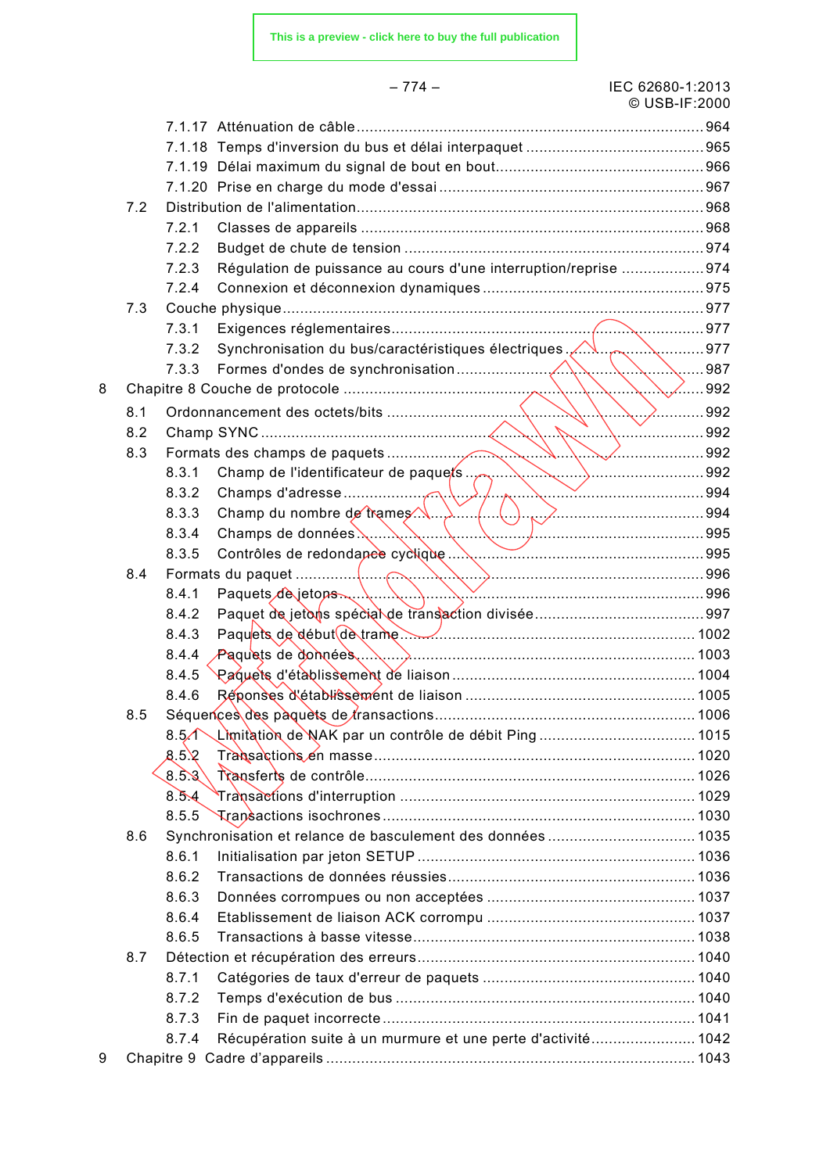– 774 – IEC 62680-1:2013

|   |     |                  |                                                                                  | $©$ USB-IF:2000 |
|---|-----|------------------|----------------------------------------------------------------------------------|-----------------|
|   |     |                  |                                                                                  |                 |
|   |     |                  |                                                                                  |                 |
|   |     |                  |                                                                                  |                 |
|   |     |                  |                                                                                  |                 |
|   | 7.2 |                  |                                                                                  |                 |
|   |     | 7.2.1            |                                                                                  |                 |
|   |     | 7.2.2            |                                                                                  |                 |
|   |     | 7.2.3            | Régulation de puissance au cours d'une interruption/reprise 974                  |                 |
|   |     | 7.2.4            |                                                                                  |                 |
|   | 7.3 |                  |                                                                                  |                 |
|   |     | 7.3.1            |                                                                                  |                 |
|   |     | 7.3.2            | Synchronisation du bus/caractéristiques électriques                              | $\sim$ 977      |
|   |     | 7.3.3            |                                                                                  | 987             |
| 8 |     |                  |                                                                                  | $\sqrt{2}$ 992  |
|   | 8.1 |                  | $\mathbb{Z}$<br>.                                                                |                 |
|   | 8.2 |                  |                                                                                  |                 |
|   | 8.3 |                  |                                                                                  |                 |
|   |     | 8.3.1            |                                                                                  |                 |
|   |     | 8.3.2            |                                                                                  |                 |
|   |     | 8.3.3            | $\langle \quad \rangle \quad \longrightarrow$ 994<br>Champ du nombre de trames.\ |                 |
|   |     | 8.3.4            |                                                                                  |                 |
|   |     | 8.3.5            |                                                                                  |                 |
|   | 8.4 |                  | $\sim$ 096                                                                       |                 |
|   |     | 8.4.1            | Paquets de jetons                                                                |                 |
|   |     | 8.4.2            |                                                                                  |                 |
|   |     | 8.4.3            | Paquets de début de trame                                                        |                 |
|   |     | 8.4.4            |                                                                                  |                 |
|   |     | 8.4.5            |                                                                                  |                 |
|   |     | 8.4.6            |                                                                                  |                 |
|   | 8.5 |                  |                                                                                  |                 |
|   |     | 8.5/1            |                                                                                  |                 |
|   |     | $8.5$ $\sqrt{2}$ |                                                                                  |                 |
|   |     | 8.5.3            |                                                                                  |                 |
|   |     | 8.54             |                                                                                  |                 |
|   |     | 8.5.5            |                                                                                  |                 |
|   | 8.6 |                  | Synchronisation et relance de basculement des données 1035                       |                 |
|   |     | 8.6.1            |                                                                                  |                 |
|   |     | 8.6.2            |                                                                                  |                 |
|   |     | 8.6.3            |                                                                                  |                 |
|   |     | 8.6.4            |                                                                                  |                 |
|   |     | 8.6.5            |                                                                                  |                 |
|   | 8.7 |                  |                                                                                  |                 |
|   |     | 8.7.1            |                                                                                  |                 |
|   |     | 8.7.2            |                                                                                  |                 |
|   |     | 8.7.3            |                                                                                  |                 |
|   |     | 8.7.4            | Récupération suite à un murmure et une perte d'activité 1042                     |                 |
| 9 |     |                  |                                                                                  |                 |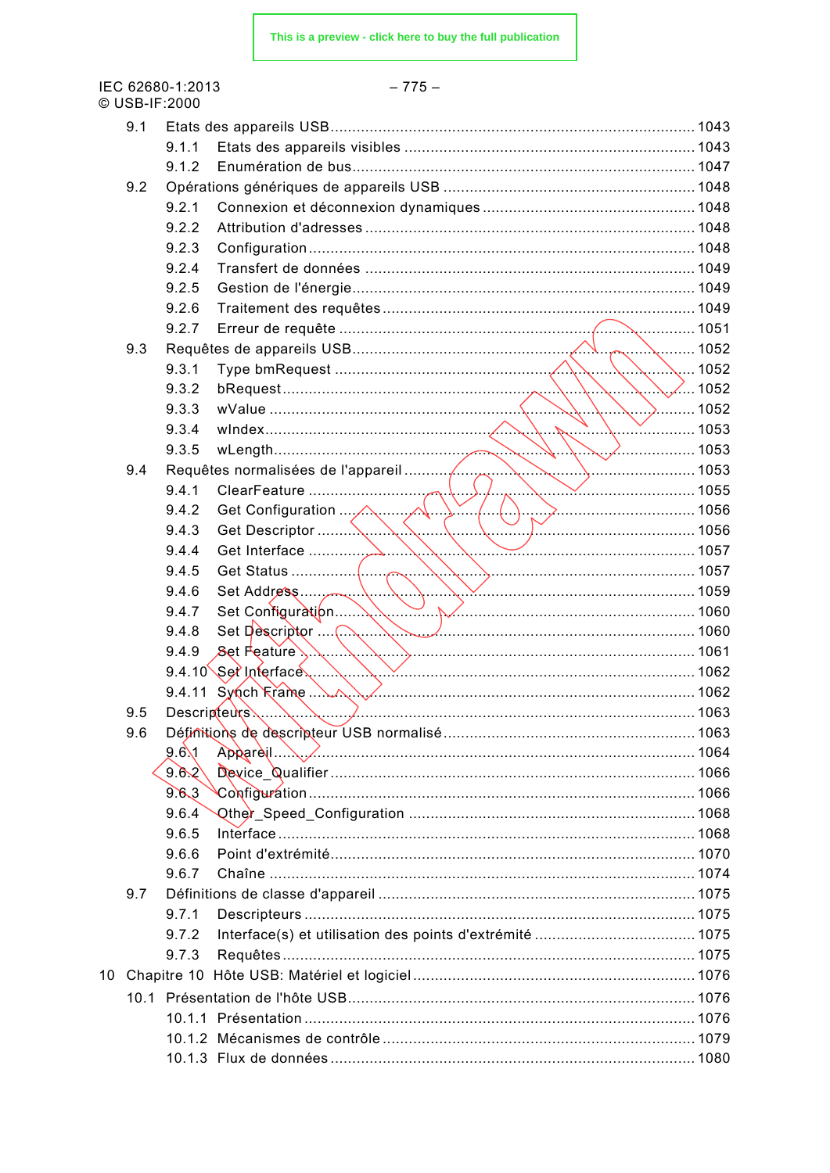IEC 62680-1:2013<br>© USB-IF:2000

| שטט∡ חו-טטט ש |       |                                                          |                 |
|---------------|-------|----------------------------------------------------------|-----------------|
| 9.1           |       |                                                          |                 |
|               | 9.1.1 |                                                          |                 |
|               | 9.1.2 |                                                          |                 |
| 9.2           |       |                                                          |                 |
|               | 9.2.1 |                                                          |                 |
|               | 9.2.2 |                                                          |                 |
|               | 9.2.3 |                                                          |                 |
|               | 9.2.4 |                                                          |                 |
|               | 9.2.5 |                                                          |                 |
|               | 9.2.6 |                                                          |                 |
|               | 9.2.7 |                                                          |                 |
| 9.3           |       |                                                          | 1052            |
|               | 9.3.1 |                                                          | $\dots$ 1052    |
|               | 9.3.2 |                                                          | $\sqrt{1.1052}$ |
|               | 9.3.3 | . 7                                                      | $\ldots$ 1052   |
|               | 9.3.4 |                                                          | 1053            |
|               | 9.3.5 | <u>.</u> 1053                                            |                 |
| 9.4           |       | .                                                        |                 |
|               | 9.4.1 | .                                                        |                 |
|               | 9.4.2 |                                                          |                 |
|               | 9.4.3 |                                                          |                 |
|               | 9.4.4 | Get Interface                                            |                 |
|               | 9.4.5 |                                                          |                 |
|               | 9.4.6 |                                                          |                 |
|               | 9.4.7 | Set Configuration                                        |                 |
|               | 9.4.8 | $\sqrt{2}$ 1060                                          |                 |
|               | 9.4.9 | Set Feature                                              |                 |
|               |       | $9.4.10$ Set Interface                                   |                 |
|               |       | 9.4.11 Synch Frame $\ldots \wedge$                       |                 |
| 9.5           |       |                                                          |                 |
| 9.6           |       |                                                          |                 |
|               | 9.61  |                                                          |                 |
|               | 9.62  |                                                          |                 |
|               | 9.63  |                                                          |                 |
|               | 9.6.4 |                                                          |                 |
|               | 9.6.5 |                                                          |                 |
|               | 9.6.6 |                                                          |                 |
|               | 9.6.7 |                                                          |                 |
| 9.7           |       |                                                          |                 |
|               | 9.7.1 |                                                          |                 |
|               | 9.7.2 |                                                          |                 |
|               | 9.7.3 |                                                          |                 |
|               |       |                                                          |                 |
|               |       |                                                          |                 |
|               |       | 10.1.1 Présentation ………………………………………………………………………………… 1076 |                 |
|               |       |                                                          |                 |
|               |       |                                                          |                 |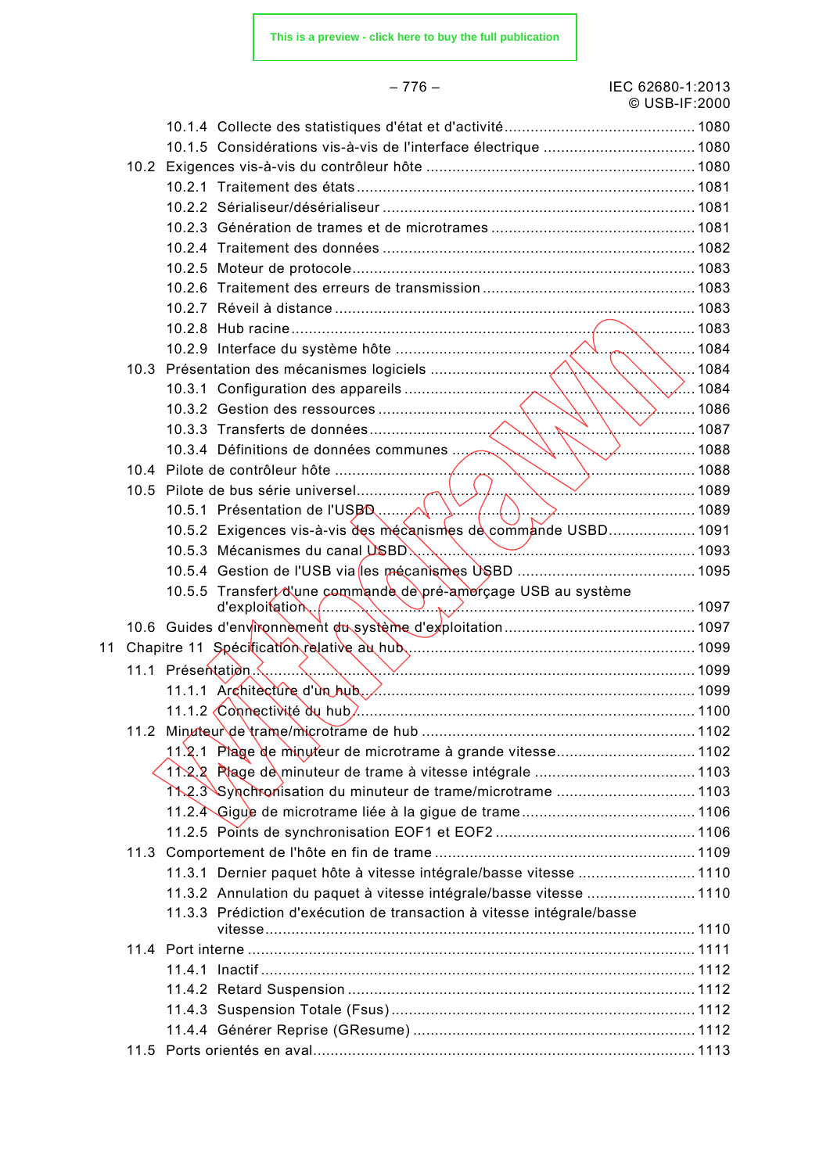– 776 – IEC 62680-1:2013 © USB-IF:2000

|    |  | 10.1.5 Considérations vis-à-vis de l'interface électrique  1080        |               |
|----|--|------------------------------------------------------------------------|---------------|
|    |  |                                                                        |               |
|    |  |                                                                        |               |
|    |  |                                                                        |               |
|    |  |                                                                        |               |
|    |  |                                                                        |               |
|    |  |                                                                        |               |
|    |  |                                                                        |               |
|    |  |                                                                        |               |
|    |  |                                                                        |               |
|    |  |                                                                        | $\ldots$ 1084 |
|    |  |                                                                        | $\ldots$ 1084 |
|    |  |                                                                        |               |
|    |  |                                                                        |               |
|    |  |                                                                        | <u>. 1087</u> |
|    |  |                                                                        |               |
|    |  | \```\``````                                                            |               |
|    |  |                                                                        |               |
|    |  | 1089                                                                   |               |
|    |  | 10.5.2 Exigences vis-à-vis des mécanismes de commande USBD 1091        |               |
|    |  | 10.5.3 Mécanismes du canal USBD                                        |               |
|    |  |                                                                        |               |
|    |  | 10.5.5 Transfert d'une commande de pré-amorçage USB au système         |               |
|    |  |                                                                        |               |
| 11 |  |                                                                        |               |
|    |  | 11.1 Présentation.                                                     |               |
|    |  |                                                                        |               |
|    |  |                                                                        |               |
|    |  |                                                                        |               |
|    |  |                                                                        |               |
|    |  |                                                                        |               |
|    |  | 11.2.3 Synchronisation du minuteur de trame/microtrame  1103           |               |
|    |  |                                                                        |               |
|    |  |                                                                        |               |
|    |  |                                                                        |               |
|    |  | 11.3.1 Dernier paquet hôte à vitesse intégrale/basse vitesse  1110     |               |
|    |  | 11.3.2 Annulation du paquet à vitesse intégrale/basse vitesse  1110    |               |
|    |  | 11.3.3 Prédiction d'exécution de transaction à vitesse intégrale/basse |               |
|    |  |                                                                        |               |
|    |  |                                                                        |               |
|    |  |                                                                        |               |
|    |  |                                                                        |               |
|    |  |                                                                        |               |
|    |  |                                                                        |               |
|    |  |                                                                        |               |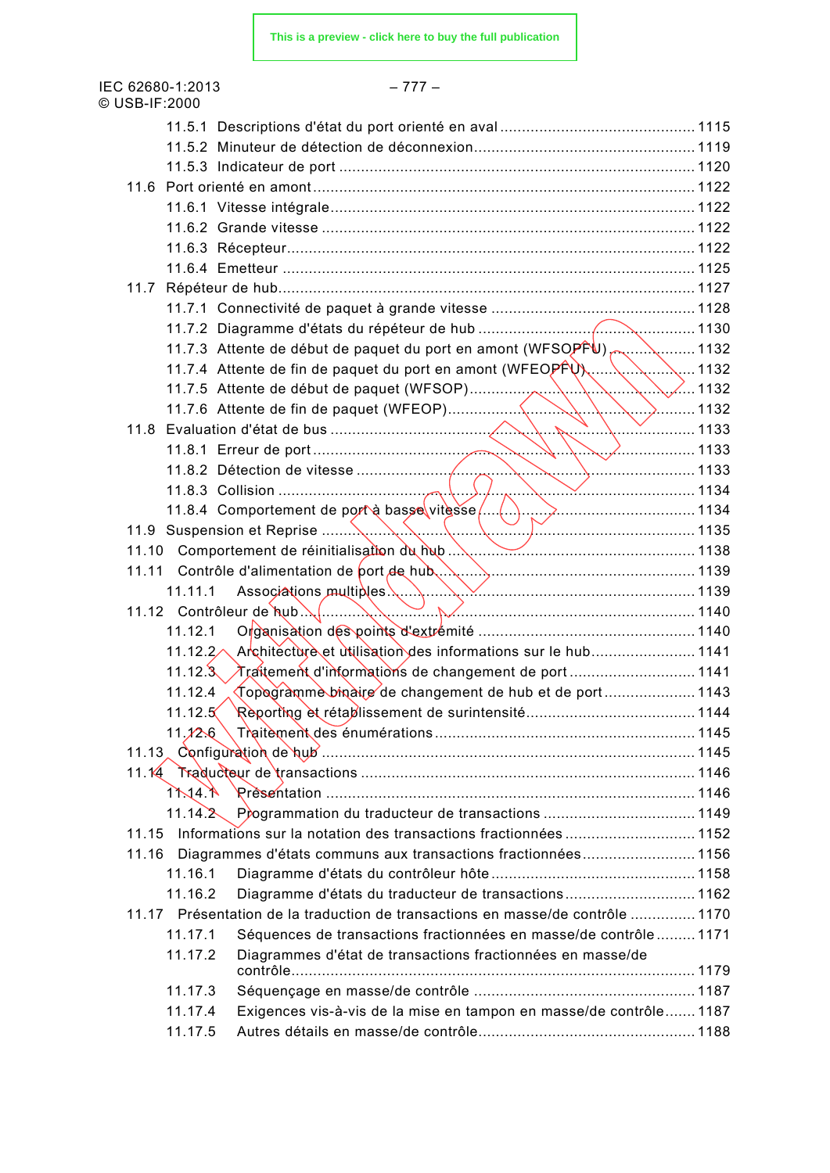IEC 62680-1:2013 – 777 – © USB-IF:2000

|        | 11.7.3 Attente de début de paquet du port en amont (WFSOPFU), 1132                  |  |
|--------|-------------------------------------------------------------------------------------|--|
|        | $\sqrt{2\pi/2}$ 1132<br>11.7.4 Attente de fin de paquet du port en amont (WFEOPFU), |  |
|        |                                                                                     |  |
|        | $\downarrow$ \ \ \ \ \ \ \ \ 1132                                                   |  |
|        | <u>、……ັ………… 1133</u>                                                                |  |
|        |                                                                                     |  |
|        |                                                                                     |  |
|        | $\sim$ 1134                                                                         |  |
|        | 11.8.4 Comportement de port à basse vitesse (()                                     |  |
|        |                                                                                     |  |
| 11.10  |                                                                                     |  |
| 11.11  | Contrôle d'alimentation de port de hub (1993) (1999) et al. 1139                    |  |
|        | 11.11.1                                                                             |  |
|        |                                                                                     |  |
|        | 11.12.1                                                                             |  |
|        | 11.12.2 $\land$                                                                     |  |
|        | ⁄ो raitement d'intormations de changement de port  1141<br>11.12.3                  |  |
|        | Topogramme binaire de changement de hub et de port 1143<br>11.12.4                  |  |
|        | 11.12.5                                                                             |  |
|        | 11.126                                                                              |  |
| 11.13. |                                                                                     |  |
|        |                                                                                     |  |
|        | $1\mathrm{M4}$                                                                      |  |
|        | 11.14.2                                                                             |  |
| 11.15  | Informations sur la notation des transactions fractionnées  1152                    |  |
| 11.16  | Diagrammes d'états communs aux transactions fractionnées 1156                       |  |
|        | 11.16.1                                                                             |  |
|        | Diagramme d'états du traducteur de transactions 1162<br>11.16.2                     |  |
|        | 11.17 Présentation de la traduction de transactions en masse/de contrôle  1170      |  |
|        | Séquences de transactions fractionnées en masse/de contrôle  1171<br>11.17.1        |  |
|        | Diagrammes d'état de transactions fractionnées en masse/de<br>11.17.2               |  |
|        |                                                                                     |  |
|        | 11.17.3                                                                             |  |
|        | Exigences vis-à-vis de la mise en tampon en masse/de contrôle 1187<br>11.17.4       |  |
|        | 11.17.5                                                                             |  |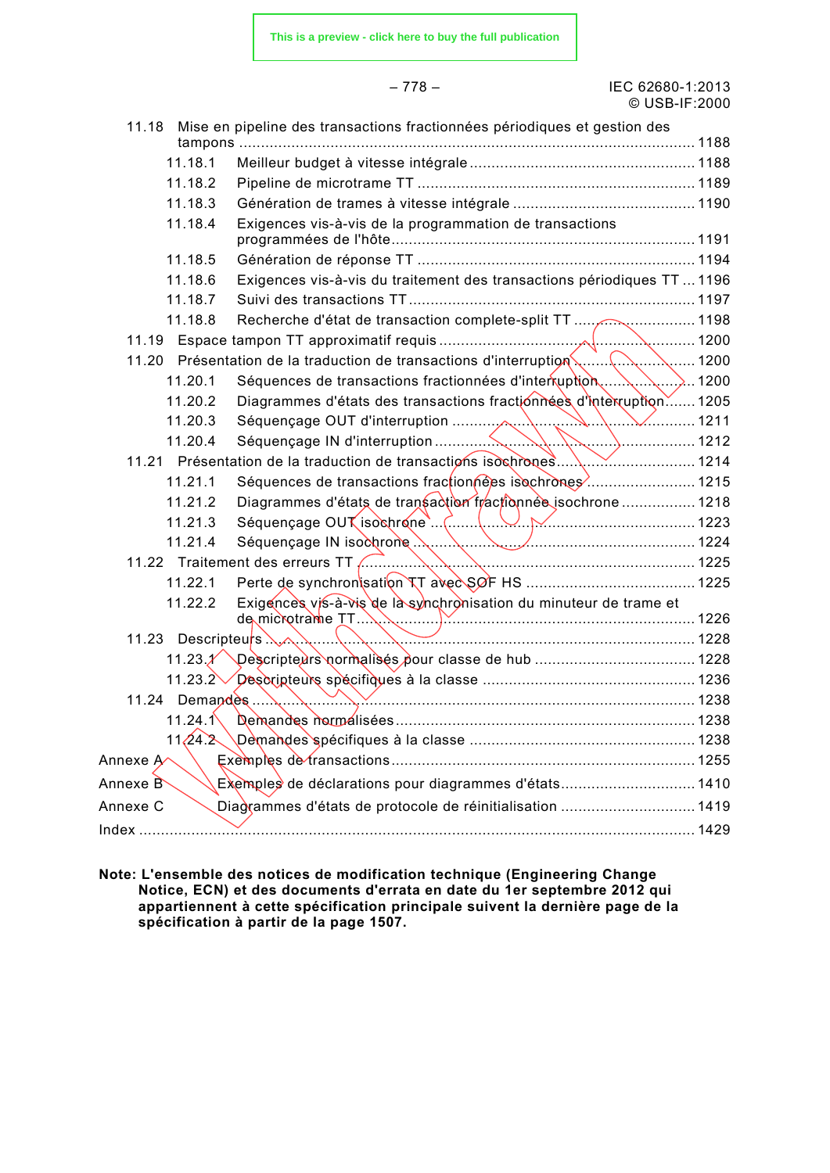| 11.18                            | Mise en pipeline des transactions fractionnées périodiques et gestion des |  |
|----------------------------------|---------------------------------------------------------------------------|--|
| 11.18.1                          |                                                                           |  |
| 11.18.2                          |                                                                           |  |
| 11.18.3                          |                                                                           |  |
| 11.18.4                          | Exigences vis-à-vis de la programmation de transactions                   |  |
|                                  |                                                                           |  |
| 11.18.5                          |                                                                           |  |
| 11.18.6                          | Exigences vis-à-vis du traitement des transactions périodiques TT  1196   |  |
| 11.18.7                          |                                                                           |  |
| 11.18.8                          | Recherche d'état de transaction complete-split TT  1198                   |  |
| 11.19                            |                                                                           |  |
|                                  | 11.20 Présentation de la traduction de transactions d'interruption        |  |
| 11.20.1                          |                                                                           |  |
| 11.20.2                          | Diagrammes d'états des transactions fraction nées d'intexuption 1205      |  |
| 11.20.3                          |                                                                           |  |
| 11.20.4                          |                                                                           |  |
|                                  | 11.21 Présentation de la traduction de transactions isochrones\ 1214      |  |
| 11.21.1                          | Séquences de transactions fractionnes isochrones  1215                    |  |
| 11.21.2                          | Diagrammes d'états de transaction fractionnée isochrone  1218             |  |
| 11.21.3                          |                                                                           |  |
| 11.21.4                          |                                                                           |  |
|                                  |                                                                           |  |
| 11.22.1                          |                                                                           |  |
| 11.22.2                          | Exigences vis-à-vis de la synchronisation du minuteur de trame et         |  |
|                                  |                                                                           |  |
|                                  | 11.23 Descripteurs $\mathcal{A}$ , $\mathcal{A}$                          |  |
| 11.23 $\chi$                     |                                                                           |  |
| $11.23.2\triangleright$          |                                                                           |  |
| 11.24 Demandes.                  |                                                                           |  |
| 11.24. $\bigwedge$               |                                                                           |  |
|                                  |                                                                           |  |
| Annexe $\boldsymbol{\mathsf{A}}$ |                                                                           |  |
| Annexe B                         | Exemples de déclarations pour diagrammes d'états 1410                     |  |
| Annexe C                         | Diagrammes d'états de protocole de réinitialisation  1419                 |  |
|                                  |                                                                           |  |

**Note: L'ensemble des notices de modification technique (Engineering Change Notice, ECN) et des documents d'errata en date du 1er septembre 2012 qui appartiennent à cette spécification principale suivent la dernière page de la spécification à partir de la page 1507.**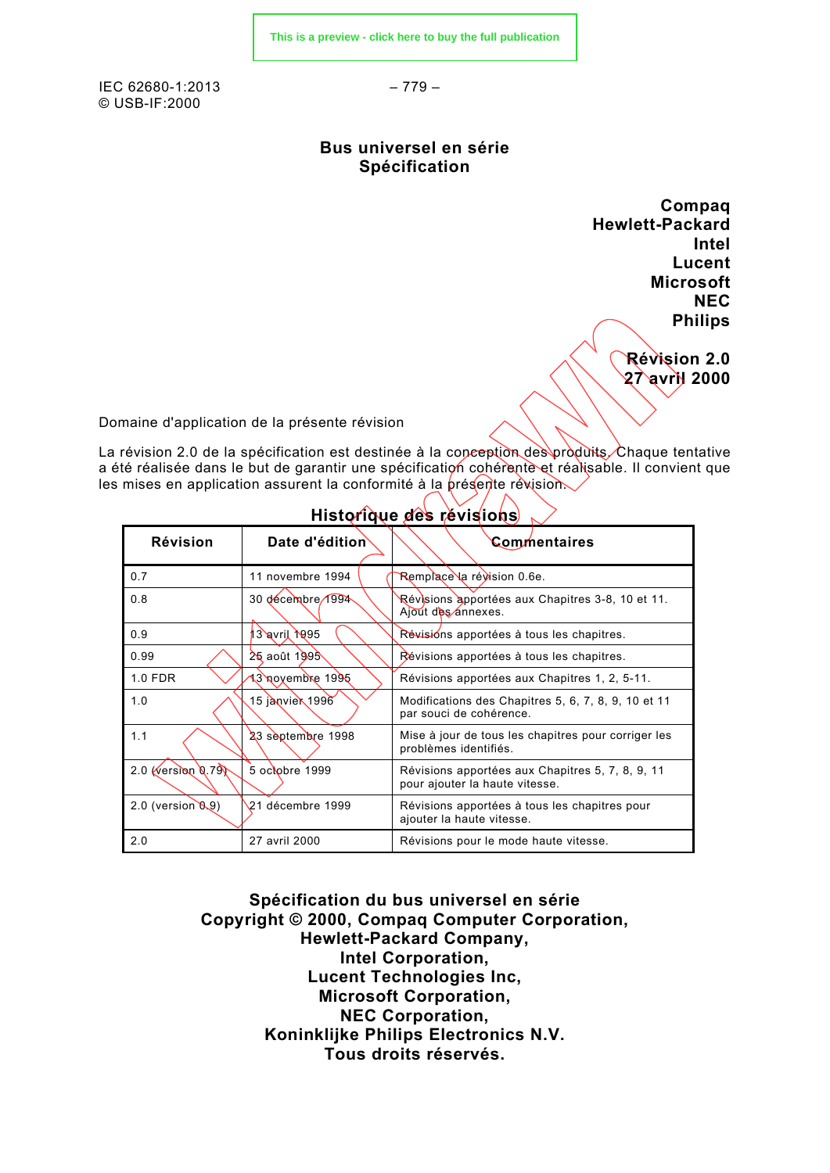$IEC 62680-1:2013$  – 779 – © USB-IF:2000

### **Bus universel en série Spécification**

**Compaq Hewlett-Packard Intel Lucent Microsoft NEC Philips**

> **Révision 2.0 27 avril 2000**

Domaine d'application de la présente révision

La révision 2.0 de la spécification est destinée à la conception des produits. Chaque tentative a été réalisée dans le but de garantir une spécification cohérente et réalisable. Il convient que les mises en application assurent la conformité à la présente révision.

| <b>Révision</b>        | Date d'édition    | <b>Commentaires</b>                                                                |
|------------------------|-------------------|------------------------------------------------------------------------------------|
| 0.7                    | 11 novembre 1994  | Remplace la révision 0.6e.                                                         |
| 0.8                    | 30 décembre 1994  | Révisions apportées aux Chapitres 3-8, 10 et 11.<br>Ajout des annexes.             |
| 0.9                    | $13$ avril 1995   | Révisións apportées à tous les chapitres.                                          |
| 0.99                   | $25$ août 1995    | Révisions apportées à tous les chapitres.                                          |
| $1.0$ FDR              | 13 novembre 1995  | Révisions apportées aux Chapitres 1, 2, 5-11.                                      |
| 1.0                    | 15 janvier 1996   | Modifications des Chapitres 5, 6, 7, 8, 9, 10 et 11<br>par souci de cohérence.     |
| 1.1                    | 23 septembre 1998 | Mise à jour de tous les chapitres pour corriger les<br>problèmes identifiés.       |
| 2.0 (version 0.79)     | 5 octobre 1999    | Révisions apportées aux Chapitres 5, 7, 8, 9, 11<br>pour ajouter la haute vitesse. |
| $2.0$ (version $0.9$ ) | 21 décembre 1999  | Révisions apportées à tous les chapitres pour<br>ajouter la haute vitesse.         |
| 2.0                    | 27 avril 2000     | Révisions pour le mode haute vitesse.                                              |

### **Historique des révisions**

**Spécification du bus universel en série Copyright © 2000, Compaq Computer Corporation, Hewlett-Packard Company, Intel Corporation, Lucent Technologies Inc, Microsoft Corporation, NEC Corporation, Koninklijke Philips Electronics N.V. Tous droits réservés.**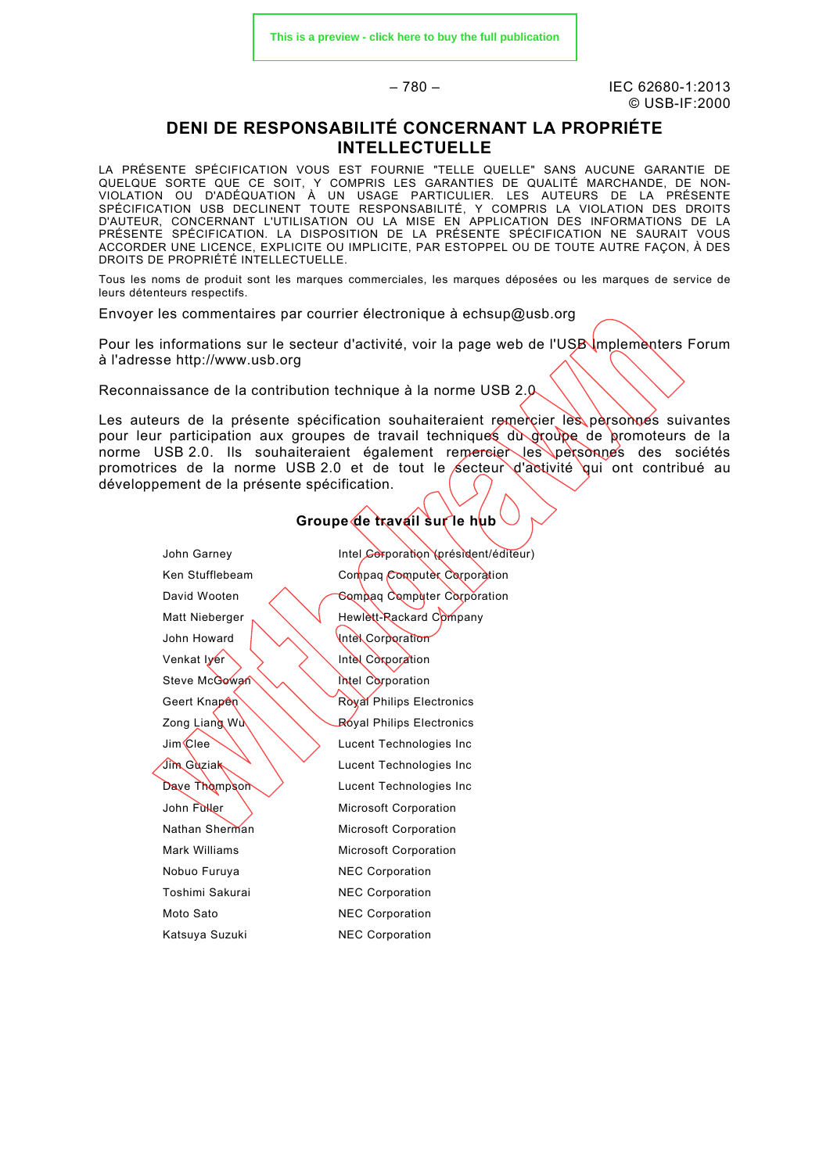$-780 -$ © USB-IF:2000

#### **DENI DE RESPONSABILITÉ CONCERNANT LA PROPRIÉTE INTELLECTUELLE**

LA PRÉSENTE SPÉCIFICATION VOUS EST FOURNIE "TELLE QUELLE" SANS AUCUNE GARANTIE DE QUELQUE SORTE QUE CE SOIT, Y COMPRIS LES GARANTIES DE QUALITÉ MARCHANDE, DE NON-VIOLATION OU D'ADÉQUATION À UN USAGE PARTICULIER. LES AUTEURS DE LA PRÉSENTE SPÉCIFICATION USB DECLINENT TOUTE RESPONSABILITÉ, Y COMPRIS LA VIOLATION DES DROITS D'AUTEUR, CONCERNANT L'UTILISATION OU LA MISE EN APPLICATION DES INFORMATIONS DE LA PRÉSENTE SPÉCIFICATION. LA DISPOSITION DE LA PRÉSENTE SPÉCIFICATION NE SAURAIT VOUS ACCORDER UNE LICENCE, EXPLICITE OU IMPLICITE, PAR ESTOPPEL OU DE TOUTE AUTRE FAÇON, À DES DROITS DE PROPRIÉTÉ INTELLECTUELLE.

Tous les noms de produit sont les marques commerciales, les marques déposées ou les marques de service de leurs détenteurs respectifs.

Envoyer les commentaires par courrier électronique à echsup@usb.org

Pour les informations sur le secteur d'activité, voir la page web de l'USB Implementers Forum à l'adresse http://www.usb.org

Reconnaissance de la contribution technique à la norme USB 2.0

Les auteurs de la présente spécification souhaiteraient remercier les personnés suivantes pour leur participation aux groupes de travail techniques du groupe de promoteurs de la norme USB 2.0. Ils souhaiteraient également remercier les personnes des sociétés promotrices de la norme USB 2.0 et de tout le secteur d'activité qui ont contribué au développement de la présente spécification.

## Groupe de travail sur le hub John Garney **Intel Corporation (président/éditeur)** Ken Stufflebeam Compaq Computer Corporation David Wooten Compaq Computer Corporation Matt Nieberger Number Hewlett-Rackard Company John Howard Intel Corporation Venkat Iyer  $\setminus$  / Intel Corporation Steve McGowan A Intel Corporation Geert Knapen Royal Philips Electronics Zong Liang Wu Royal Philips Electronics Jim Clee  $\left\langle \right\rangle$  Lucent Technologies Inc Jim Guziak \\ \ Lucent Technologies Inc Dave Thompson >>>>>>>> Lucent Technologies Inc John Fuller \\ Microsoft Corporation Nathan Sherman Microsoft Corporation Mark Williams Microsoft Corporation Nobuo Furuya NEC Corporation Toshimi Sakurai NEC Corporation Moto Sato **NEC Corporation** Katsuya Suzuki NEC Corporation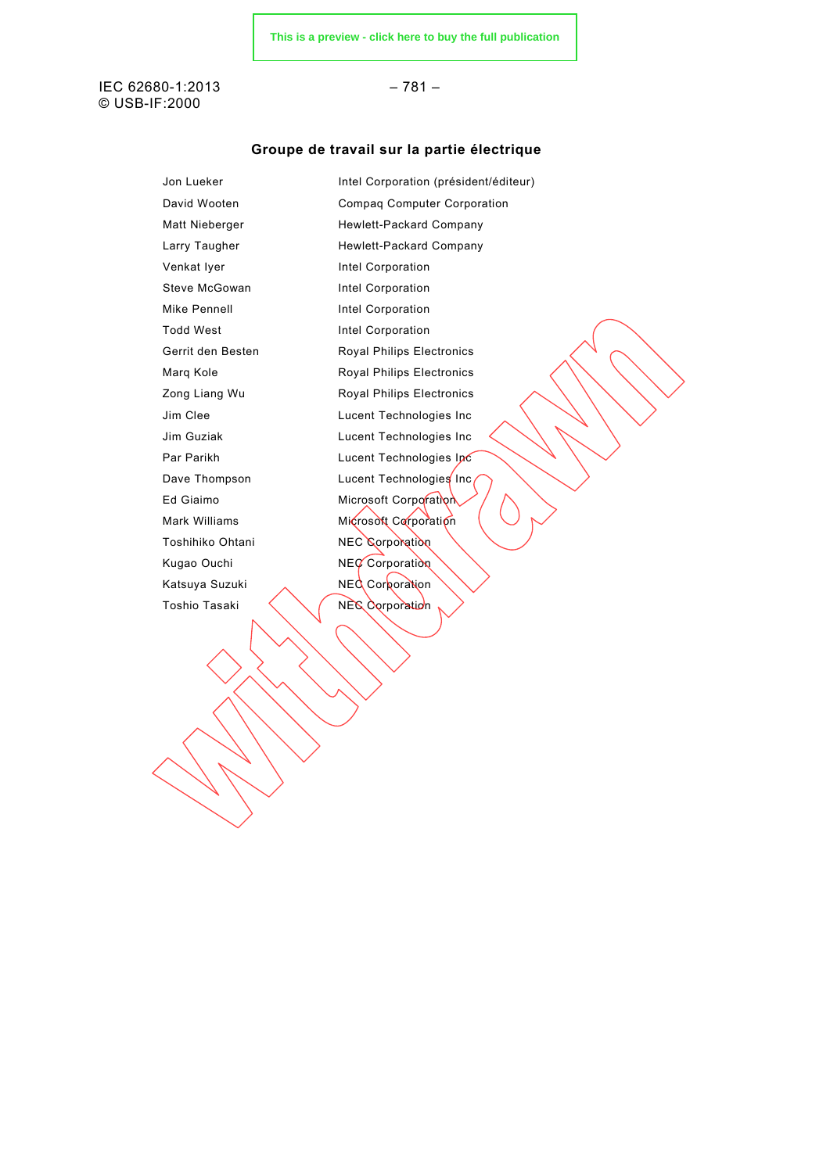IEC 62680-1:2013 – 781 – © USB-IF:2000

#### **Groupe de travail sur la partie électrique**

Jon Lueker **Intel Corporation (président/éditeur)** David Wooten **Compaq Computer Corporation** Matt Nieberger **Hewlett-Packard Company** Larry Taugher **Hewlett-Packard Company** Venkat Iyer **Intel Corporation** Steve McGowan **Intel Corporation** Mike Pennell **Intel Corporation** Todd West **Intel Corporation** Gerrit den Besten **Royal Philips Electronics** Marq Kole **Marq Kole** Royal Philips Electronics Zong Liang Wu **Royal Philips Electronics** Jim Clee Lucent Technologies Inc Jim Guziak Lucent Technologies Inc Par Parikh Lucent Technologies Ipc Dave Thompson **Lucent Technologies** Inc Ed Giaimo Microsoft Corporation Mark Williams Microsoft Corporation Toshihiko Ohtani NEC Corporation Kugao Ouchi NEC Corporation Katsuya Suzuki Annung NEC Corporation Toshio Tasaki < \\ NEC Corporation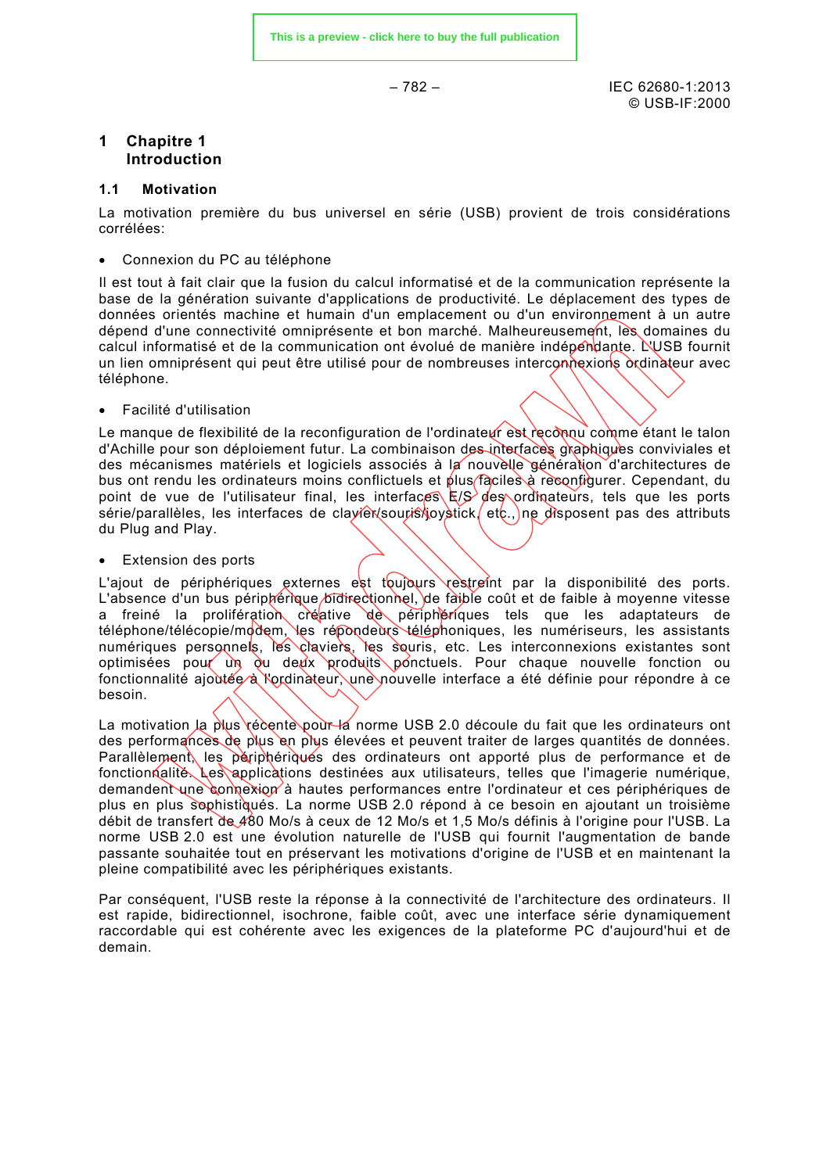$-782 - 12013$  $© IISB-IF:2000$ 

#### **1 Chapitre 1 Introduction**

#### **1.1 Motivation**

La motivation première du bus universel en série (USB) provient de trois considérations corrélées:

Connexion du PC au téléphone

Il est tout à fait clair que la fusion du calcul informatisé et de la communication représente la base de la génération suivante d'applications de productivité. Le déplacement des types de données orientés machine et humain d'un emplacement ou d'un environnement à un autre dépend d'une connectivité omniprésente et bon marché. Malheureusement, les domaines du calcul informatisé et de la communication ont évolué de manière indépendante. L'USB fournit un lien omniprésent qui peut être utilisé pour de nombreuses interconnexions ordinateur avec téléphone.

• Facilité d'utilisation

Le manque de flexibilité de la reconfiguration de l'ordinateur est reconnu comme étant le talon d'Achille pour son déploiement futur. La combinaison des interfaces graphiques conviviales et des mécanismes matériels et logiciels associés à la nouvelle génération d'architectures de bus ont rendu les ordinateurs moins conflictuels et plus faciles à reconfigurer. Cependant, du point de vue de l'utilisateur final, les interfaces  $E/S$  des ordinateurs, tels que les ports série/parallèles, les interfaces de clayièr/souris/joystick/etc., ne disposent pas des attributs du Plug and Play.

Extension des ports

L'ajout de périphériques externes est toujours restreint par la disponibilité des ports. L'absence d'un bus périphérique bidirectionnel, de faible coût et de faible à moyenne vitesse a freiné la prolifération créative de périphéríques tels que les adaptateurs de téléphone/télécopie/modem, les répondeurs téléphoniques, les numériseurs, les assistants numériques personnels, les claviers, les souris, etc. Les interconnexions existantes sont optimisées pour un ou deux produits ponctuels. Pour chaque nouvelle fonction ou fonctionnalité ajoutée à l'ordinateur, une nouvelle interface a été définie pour répondre à ce besoin.

La motivation la plus récente pour la norme USB 2.0 découle du fait que les ordinateurs ont des performances de plus en plus élevées et peuvent traiter de larges quantités de données. Parallèlement, les périphériques des ordinateurs ont apporté plus de performance et de fonctionnalité. Les applications destinées aux utilisateurs, telles que l'imagerie numérique, demandent une connexion à hautes performances entre l'ordinateur et ces périphériques de plus en plus sophistiqués. La norme USB 2.0 répond à ce besoin en ajoutant un troisième débit de transfert de 480 Mo/s à ceux de 12 Mo/s et 1,5 Mo/s définis à l'origine pour l'USB. La norme USB 2.0 est une évolution naturelle de l'USB qui fournit l'augmentation de bande passante souhaitée tout en préservant les motivations d'origine de l'USB et en maintenant la pleine compatibilité avec les périphériques existants.

Par conséquent, l'USB reste la réponse à la connectivité de l'architecture des ordinateurs. Il est rapide, bidirectionnel, isochrone, faible coût, avec une interface série dynamiquement raccordable qui est cohérente avec les exigences de la plateforme PC d'aujourd'hui et de demain.